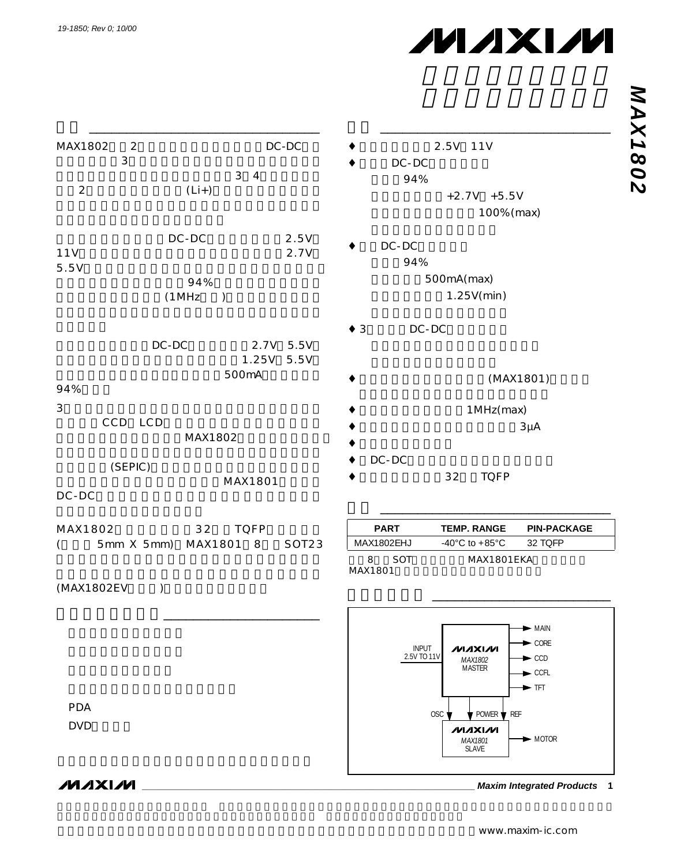## **MAXIM**

| C<br>г |
|--------|
|        |
|        |
|        |
| L.     |

| MAX1802        | $\overline{2}$<br>$\mathsf 3$ |               |                      | $DC-DC$       | 2.5V 11V                                                             |
|----------------|-------------------------------|---------------|----------------------|---------------|----------------------------------------------------------------------|
|                |                               |               | 3 <sub>4</sub>       |               | DC-DC                                                                |
| $\overline{2}$ |                               |               | $(Li+)$              |               | 94%                                                                  |
|                |                               |               |                      |               | $+2.7V +5.5V$                                                        |
|                |                               |               |                      |               | 100% (max)                                                           |
|                |                               | DC-DC         |                      | 2.5V          | DC-DC                                                                |
| 11V            |                               |               |                      | 2.7V          | 94%                                                                  |
| 5.5V           |                               |               |                      |               | 500mA(max)                                                           |
|                |                               |               | 94%                  |               | 1.25V(min)                                                           |
|                |                               | (1 MHz        | $\big)$              |               |                                                                      |
|                |                               |               |                      |               | DC-DC<br>$\star$ 3                                                   |
|                |                               | $DC-DC$       |                      | 2.7V 5.5V     |                                                                      |
|                |                               |               |                      | 1.25V<br>5.5V |                                                                      |
|                |                               |               | 500mA                |               | (MAX1801)                                                            |
| 94%            |                               |               |                      |               |                                                                      |
| 3              | CCD LCD                       |               |                      |               | 1 MHz (max)                                                          |
|                |                               |               | MAX1802              |               | $3\mu A$                                                             |
|                |                               |               |                      |               |                                                                      |
|                | (SEPIC)                       |               |                      |               | DC-DC                                                                |
|                |                               |               | MAX1801              |               | 32<br><b>TQFP</b>                                                    |
| $DC-DC$        |                               |               |                      |               |                                                                      |
| MAX1802        |                               |               | 32<br><b>TQFP</b>    |               | <b>PART</b><br><b>TEMP. RANGE</b><br><b>PIN-PACKAGE</b>              |
| $\left($       |                               |               | 5mm X 5mm) MAX1801 8 | SOT23         | MAX1802EHJ<br>-40 $^{\circ}$ C to +85 $^{\circ}$ C<br>32 TQFP        |
|                |                               |               |                      |               | 8<br>SOT<br>MAX1801EKA                                               |
|                |                               |               |                      |               | MAX1801                                                              |
| (MAX1802EV     |                               | $\mathcal{Y}$ |                      |               |                                                                      |
|                |                               |               |                      |               |                                                                      |
|                |                               |               |                      |               | $\blacktriangleright$ Main                                           |
|                |                               |               |                      |               | $\blacktriangleright$ CORE<br><b>INPUT</b><br><b>MAXIM</b>           |
|                |                               |               |                      |               | 2.5V TO 11V<br>$\blacktriangleright$ CCD<br>MAX1802<br><b>MASTER</b> |
|                |                               |               |                      |               | $\blacktriangleright$ CCFL<br>$\blacktriangleright$ TFT              |
|                |                               |               |                      |               |                                                                      |
| <b>PDA</b>     |                               |               |                      |               | OSC '<br>$\bullet$ POWER $\bullet$ REF                               |
| <b>DVD</b>     |                               |               |                      |               | <b>MAXIM</b>                                                         |
|                |                               |               |                      |               | $\blacktriangleright$ MOTOR<br>MAX1801<br>SLAVE                      |
|                |                               |               |                      |               |                                                                      |

**NVIXVNV** 

**\_\_\_\_\_\_\_\_\_\_\_\_\_\_\_\_\_\_\_\_\_\_\_\_\_\_\_\_\_\_\_\_\_\_\_\_\_\_\_\_\_\_\_\_\_\_\_\_\_\_\_\_\_\_\_\_\_\_\_\_\_\_\_\_ Maxim Integrated Products 1**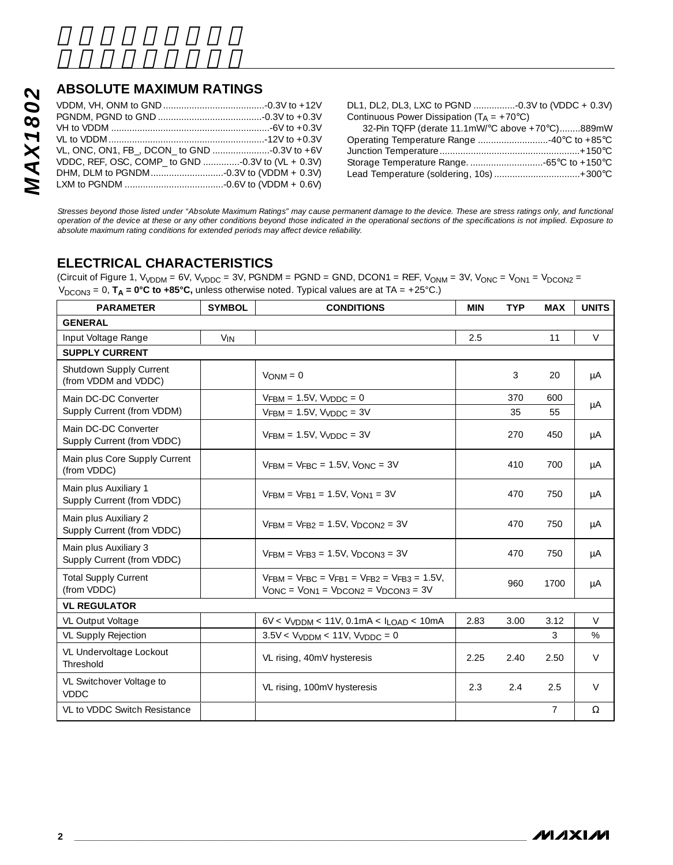#### **ABSOLUTE MAXIMUM RATINGS**

| <b>ABSOLUTE MAXIMUM RATINGS</b>                   |  |
|---------------------------------------------------|--|
|                                                   |  |
|                                                   |  |
|                                                   |  |
|                                                   |  |
|                                                   |  |
| VDDC, REF, OSC, COMP_ to GND -0.3V to (VL + 0.3V) |  |
|                                                   |  |
|                                                   |  |

DL1, DL2, DL3, LXC to PGND ................-0.3V to (VDDC + 0.3V) Continuous Power Dissipation  $(T_A = +70^{\circ}C)$ 

| 32-Pin TQFP (derate $11.1$ mW/°C above +70°C)889mW |  |
|----------------------------------------------------|--|
|                                                    |  |
|                                                    |  |
|                                                    |  |
| Lead Temperature (soldering, 10s)  +300°C          |  |
|                                                    |  |

*Stresses beyond those listed under "Absolute Maximum Ratings" may cause permanent damage to the device. These are stress ratings only, and functional operation of the device at these or any other conditions beyond those indicated in the operational sections of the specifications is not implied. Exposure to absolute maximum rating conditions for extended periods may affect device reliability.*

#### **ELECTRICAL CHARACTERISTICS**

(Circuit of Figure 1,  $V_{VDDM}$  = 6V,  $V_{VDDC}$  = 3V, PGNDM = PGND = GND, DCON1 = REF,  $V_{ONM}$  = 3V,  $V_{ONC}$  =  $V_{ON1}$  =  $V_{DCON2}$  =  $V_{\text{DCON3}} = 0$ ,  $T_A = 0^\circ \text{C}$  to  $+85^\circ \text{C}$ , unless otherwise noted. Typical values are at TA = +25°C.)

| <b>PARAMETER</b>                                    | <b>SYMBOL</b> | <b>CONDITIONS</b>                                                                                        | <b>MIN</b> | <b>TYP</b> | <b>MAX</b>     | <b>UNITS</b> |
|-----------------------------------------------------|---------------|----------------------------------------------------------------------------------------------------------|------------|------------|----------------|--------------|
| <b>GENERAL</b>                                      |               |                                                                                                          |            |            |                |              |
| Input Voltage Range                                 | $V_{IN}$      |                                                                                                          | 2.5        |            | 11             | V            |
| <b>SUPPLY CURRENT</b>                               |               |                                                                                                          |            |            |                |              |
| Shutdown Supply Current<br>(from VDDM and VDDC)     |               | $V_{ONM} = 0$                                                                                            |            | 3          | 20             | μA           |
| Main DC-DC Converter                                |               | $V$ FBM = 1.5V, $V$ vDDC = 0                                                                             |            | 370        | 600            |              |
| Supply Current (from VDDM)                          |               | $VFBM = 1.5V$ , $VVDDC = 3V$                                                                             |            | 35         | 55             | μA           |
| Main DC-DC Converter<br>Supply Current (from VDDC)  |               | $V$ FBM = 1.5V, $V$ vDDC = 3V                                                                            |            | 270        | 450            | μA           |
| Main plus Core Supply Current<br>(from VDDC)        |               | $V$ FBM = $V$ FBC = 1.5V, $V$ ONC = 3V                                                                   |            | 410        | 700            | μA           |
| Main plus Auxiliary 1<br>Supply Current (from VDDC) |               | $V$ FRM = $V$ FR1 = 1.5V, $V_{OM1}$ = 3V                                                                 |            | 470        | 750            | μA           |
| Main plus Auxiliary 2<br>Supply Current (from VDDC) |               | $VFBM = VFB2 = 1.5V$ , $VDCON2 = 3V$                                                                     |            | 470        | 750            | μA           |
| Main plus Auxiliary 3<br>Supply Current (from VDDC) |               | $VFBM = VFB3 = 1.5V$ , $VDCON3 = 3V$                                                                     |            | 470        | 750            | μA           |
| <b>Total Supply Current</b><br>(from VDDC)          |               | $V$ FBM = $V$ FBC = $V$ FB1 = $V$ FB2 = $V$ FB3 = 1.5V<br>$V$ ONC = $V$ ON1 = $V$ DCON2 = $V$ DCON3 = 3V |            | 960        | 1700           | μA           |
| <b>VL REGULATOR</b>                                 |               |                                                                                                          |            |            |                |              |
| VL Output Voltage                                   |               | $6V < V_{VDDM} < 11V$ , 0.1mA $< I_{IDAD} < 10mA$                                                        | 2.83       | 3.00       | 3.12           | $\vee$       |
| <b>VL Supply Rejection</b>                          |               | $3.5V < VVDDM < 11V$ , $VVDDC = 0$                                                                       |            |            | 3              | %            |
| VL Undervoltage Lockout<br>Threshold                |               | VL rising, 40mV hysteresis                                                                               | 2.25       | 2.40       | 2.50           | $\vee$       |
| VL Switchover Voltage to<br><b>VDDC</b>             |               | VL rising, 100mV hysteresis                                                                              | 2.3        | 2.4        | 2.5            | $\vee$       |
| VL to VDDC Switch Resistance                        |               |                                                                                                          |            |            | $\overline{7}$ | $\Omega$     |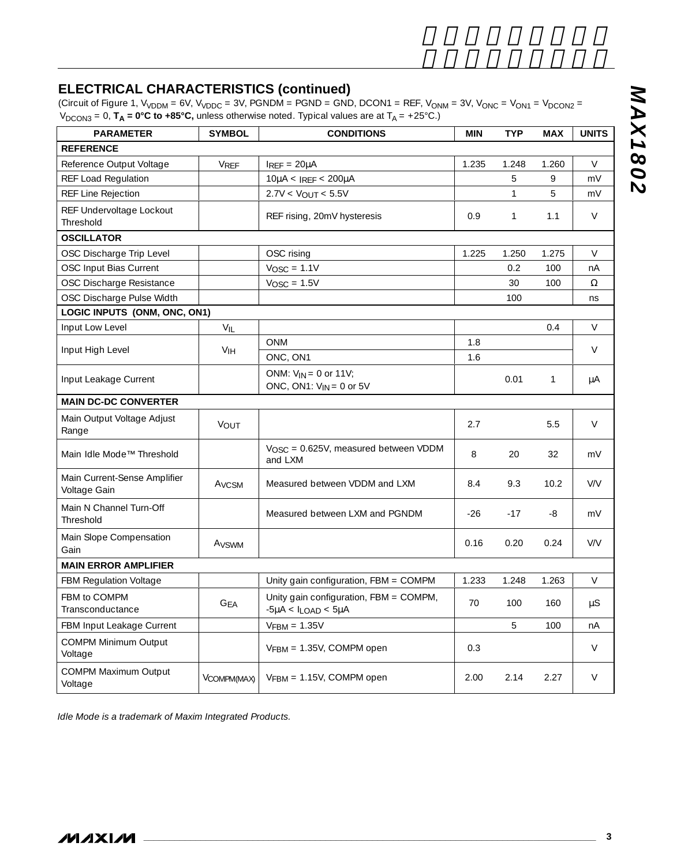#### **ELECTRICAL CHARACTERISTICS (continued)**

(Circuit of Figure 1, V<sub>VDDM</sub> = 6V, V<sub>VDDC</sub> = 3V, PGNDM = PGND = GND, DCON1 = REF, V<sub>ONM</sub> = 3V, V<sub>ONC</sub> = V<sub>ON1</sub> = V<sub>DCON2</sub> = V<sub>DCON3</sub> = 0, **T<sub>A</sub> = 0°C to +85°C,** unless otherwise noted. Typical values are at T<sub>A</sub> = +25°C.)

| <b>PARAMETER</b>                             | <b>SYMBOL</b> | <b>CONDITIONS</b>                                                       | <b>MIN</b> | <b>TYP</b>   | <b>MAX</b> | <b>UNITS</b> |
|----------------------------------------------|---------------|-------------------------------------------------------------------------|------------|--------------|------------|--------------|
| <b>REFERENCE</b>                             |               |                                                                         |            |              |            |              |
| Reference Output Voltage                     | VREF          | $I_{REF} = 20\mu A$                                                     | 1.235      | 1.248        | 1.260      | V            |
| REF Load Regulation                          |               | $10\mu$ A < IREF < 200 $\mu$ A                                          |            | 5            | 9          | mV           |
| REF Line Rejection                           |               | $2.7V < V_{OUT} < 5.5V$                                                 |            | $\mathbf{1}$ | 5          | mV           |
| REF Undervoltage Lockout<br>Threshold        |               | REF rising, 20mV hysteresis                                             | 0.9        | $\mathbf{1}$ | 1.1        | $\vee$       |
| <b>OSCILLATOR</b>                            |               |                                                                         |            |              |            |              |
| OSC Discharge Trip Level                     |               | OSC rising                                                              | 1.225      | 1.250        | 1.275      | $\vee$       |
| OSC Input Bias Current                       |               | $V_{\text{OSC}} = 1.1V$                                                 |            | 0.2          | 100        | nA           |
| OSC Discharge Resistance                     |               | $V_{\text{OSC}} = 1.5V$                                                 |            | 30           | 100        | Ω            |
| OSC Discharge Pulse Width                    |               |                                                                         |            | 100          |            | ns           |
| LOGIC INPUTS (ONM, ONC, ON1)                 |               |                                                                         |            |              |            |              |
| Input Low Level                              | VIL           |                                                                         |            |              | 0.4        | V            |
| Input High Level                             | VIH           | <b>ONM</b>                                                              | 1.8        |              |            | $\vee$       |
|                                              |               | ONC, ON1                                                                | 1.6        |              |            |              |
| Input Leakage Current                        |               | ONM: $V_{IN} = 0$ or 11V;<br>ONC, ON1: $V_{IN} = 0$ or 5V               |            | 0.01         | 1          | μA           |
| <b>MAIN DC-DC CONVERTER</b>                  |               |                                                                         |            |              |            |              |
| Main Output Voltage Adjust<br>Range          | VOUT          |                                                                         | 2.7        |              | 5.5        | $\vee$       |
| Main Idle Mode™ Threshold                    |               | V <sub>OSC</sub> = 0.625V, measured between VDDM<br>and LXM             | 8          | 20           | 32         | mV           |
| Main Current-Sense Amplifier<br>Voltage Gain | Avcsm         | Measured between VDDM and LXM                                           | 8.4        | 9.3          | 10.2       | V/V          |
| Main N Channel Turn-Off<br>Threshold         |               | Measured between LXM and PGNDM                                          | $-26$      | $-17$        | -8         | mV           |
| Main Slope Compensation<br>Gain              | Avswm         |                                                                         | 0.16       | 0.20         | 0.24       | V/V          |
| <b>MAIN ERROR AMPLIFIER</b>                  |               |                                                                         |            |              |            |              |
| <b>FBM Regulation Voltage</b>                |               | Unity gain configuration, $FBM = COMPM$                                 | 1.233      | 1.248        | 1.263      | $\vee$       |
| FBM to COMPM<br>Transconductance             | <b>GFA</b>    | Unity gain configuration, FBM = COMPM,<br>$-5\mu A < I_{LOAD} < 5\mu A$ | 70         | 100          | 160        | μS           |
| <b>FBM Input Leakage Current</b>             |               | $VFBM = 1.35V$                                                          |            | 5            | 100        | nA           |
| <b>COMPM Minimum Output</b><br>Voltage       |               | $VFBM = 1.35V$ , COMPM open                                             | 0.3        |              |            | $\vee$       |
| <b>COMPM Maximum Output</b><br>Voltage       | VCOMPM(MAX)   | $VFBM = 1.15V$ , COMPM open                                             | 2.00       | 2.14         | 2.27       | V            |

*Idle Mode is a trademark of Maxim Integrated Products.*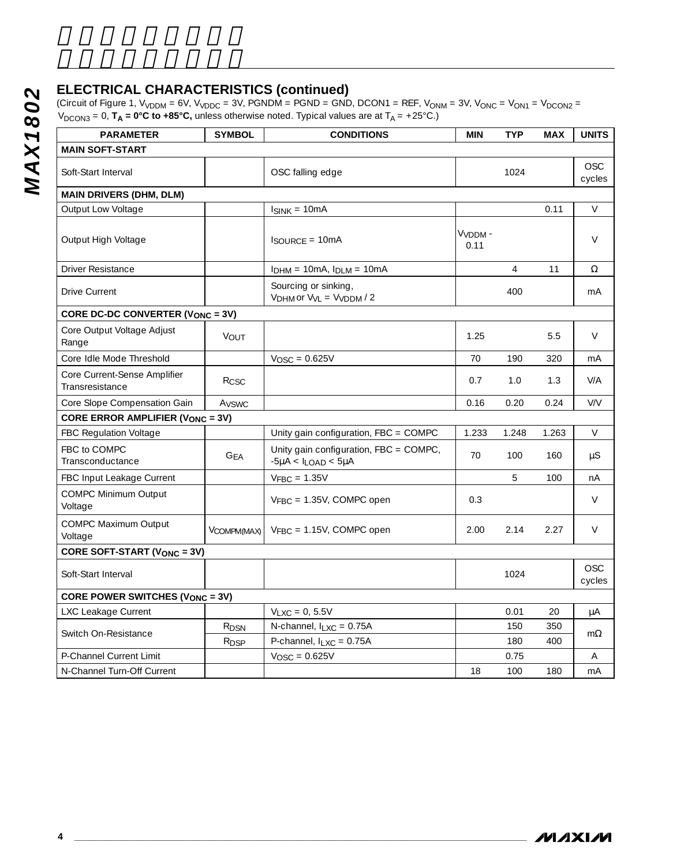#### **ELECTRICAL CHARACTERISTICS (continued)**

| <b>PARAMETER</b>                                | <b>SYMBOL</b>           | <b>CONDITIONS</b>                                                       |                             | <b>TYP</b>     | <b>MAX</b> |                      |
|-------------------------------------------------|-------------------------|-------------------------------------------------------------------------|-----------------------------|----------------|------------|----------------------|
| <b>MAIN SOFT-START</b>                          |                         |                                                                         | <b>MIN</b>                  |                |            | <b>UNITS</b>         |
| Soft-Start Interval                             |                         | OSC falling edge                                                        |                             | 1024           |            | <b>OSC</b><br>cycles |
| <b>MAIN DRIVERS (DHM, DLM)</b>                  |                         |                                                                         |                             |                |            |                      |
| Output Low Voltage                              |                         | $I_{SINK} = 10mA$                                                       |                             |                | 0.11       | V                    |
| Output High Voltage                             |                         | $I_{\text{SOURCE}} = 10 \text{mA}$                                      | V <sub>VDDM</sub> -<br>0.11 |                |            | V                    |
| <b>Driver Resistance</b>                        |                         | $I_{DHM} = 10mA$ , $I_{DLM} = 10mA$                                     |                             | $\overline{4}$ | 11         | Ω                    |
| <b>Drive Current</b>                            |                         | Sourcing or sinking,<br>$VDHM$ or $VVL = VVDDM / 2$                     |                             | 400            |            | mA                   |
| CORE DC-DC CONVERTER (VONC = 3V)                |                         |                                                                         |                             |                |            |                      |
| Core Output Voltage Adjust<br>Range             | VOUT                    |                                                                         | 1.25                        |                | 5.5        | V                    |
| Core Idle Mode Threshold                        |                         | $V_{\text{OSC}} = 0.625V$                                               | 70                          | 190            | 320        | mA                   |
| Core Current-Sense Amplifier<br>Transresistance | Rcsc                    |                                                                         | 0.7                         | 1.0            | 1.3        | V/A                  |
| Core Slope Compensation Gain                    | Avswc                   |                                                                         | 0.16                        | 0.20           | 0.24       | V/V                  |
| <b>CORE ERROR AMPLIFIER (VONC = 3V)</b>         |                         |                                                                         |                             |                |            |                      |
| <b>FBC Regulation Voltage</b>                   |                         | Unity gain configuration, FBC = COMPC                                   | 1.233                       | 1.248          | 1.263      | V                    |
| FBC to COMPC<br>Transconductance                | <b>GEA</b>              | Unity gain configuration, FBC = COMPC,<br>$-5\mu A < I_{LOAD} < 5\mu A$ | 70                          | 100            | 160        | μS                   |
| FBC Input Leakage Current                       |                         | $V_{FBC} = 1.35V$                                                       |                             | 5              | 100        | nA                   |
| <b>COMPC Minimum Output</b><br>Voltage          |                         | $V_{FBC} = 1.35V$ , COMPC open                                          | 0.3                         |                |            | V                    |
| <b>COMPC Maximum Output</b><br>Voltage          | VCOMPM(MAX)             | $V_{FBC} = 1.15V$ , COMPC open                                          | 2.00                        | 2.14           | 2.27       | V                    |
| CORE SOFT-START (VONC = 3V)                     |                         |                                                                         |                             |                |            |                      |
| Soft-Start Interval                             |                         |                                                                         |                             | 1024           |            | OSC<br>cycles        |
| CORE POWER SWITCHES (VONC = 3V)                 |                         |                                                                         |                             |                |            |                      |
| LXC Leakage Current                             |                         | $V_{LXC} = 0, 5.5V$                                                     |                             | 0.01           | 20         | μA                   |
| Switch On-Resistance                            | R <sub>DSN</sub>        | N-channel, $I_{LXC} = 0.75A$                                            |                             | 150            | 350        | $m\Omega$            |
|                                                 | <b>R</b> <sub>DSP</sub> | P-channel, $I_{LXC} = 0.75A$                                            |                             | 180            | 400        |                      |
| P-Channel Current Limit                         |                         | $V_{\text{OSC}} = 0.625V$                                               |                             | 0.75           |            | Α                    |
| N-Channel Turn-Off Current                      |                         |                                                                         | 18                          | 100            | 180        | mA                   |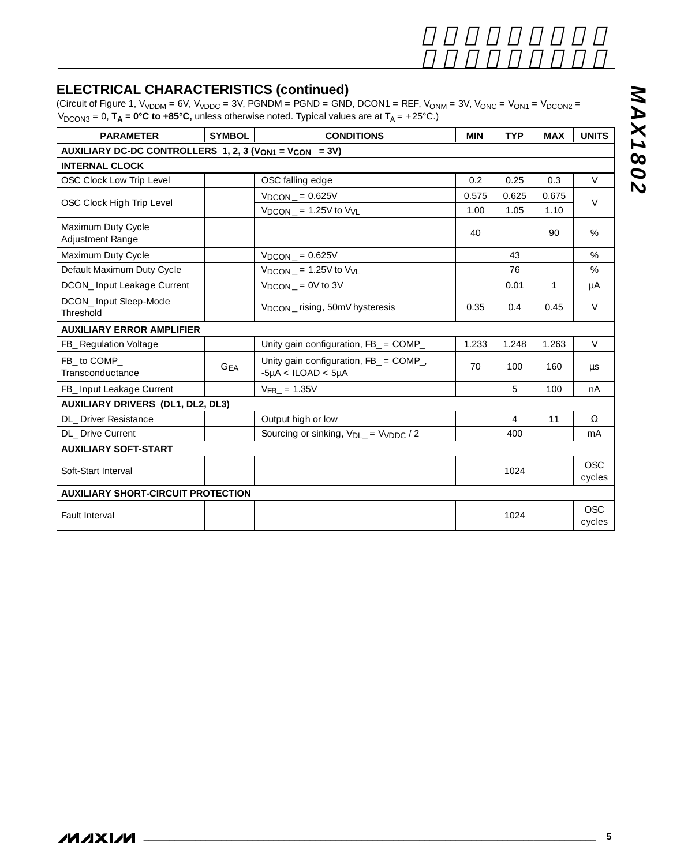### **ELECTRICAL CHARACTERISTICS (continued)**

(Circuit of Figure 1, V<sub>VDDM</sub> = 6V, V<sub>VDDC</sub> = 3V, PGNDM = PGND = GND, DCON1 = REF, V<sub>ONM</sub> = 3V, V<sub>ONC</sub> = V<sub>ON1</sub> = V<sub>DCON2</sub> = V<sub>DCON3</sub> = 0, **T<sub>A</sub> = 0°C to +85°C,** unless otherwise noted. Typical values are at T<sub>A</sub> = +25°C.)

| <b>PARAMETER</b>                                                               | <b>SYMBOL</b> | <b>CONDITIONS</b>                                                    | <b>MIN</b> | <b>TYP</b> | <b>MAX</b> | <b>UNITS</b>         |
|--------------------------------------------------------------------------------|---------------|----------------------------------------------------------------------|------------|------------|------------|----------------------|
| AUXILIARY DC-DC CONTROLLERS 1, 2, 3 (V <sub>ON1</sub> = V <sub>CON</sub> = 3V) |               |                                                                      |            |            |            |                      |
| <b>INTERNAL CLOCK</b>                                                          |               |                                                                      |            |            |            |                      |
| OSC Clock Low Trip Level                                                       |               | OSC falling edge                                                     | 0.2        | 0.25       | 0.3        | $\vee$               |
| OSC Clock High Trip Level                                                      |               | $V_{DCON}$ = 0.625V                                                  | 0.575      | 0.625      | 0.675      | $\vee$               |
|                                                                                |               | $V_{DCON}$ = 1.25V to $V_{VL}$                                       | 1.00       | 1.05       | 1.10       |                      |
| Maximum Duty Cycle<br>Adjustment Range                                         |               |                                                                      | 40         |            | 90         | %                    |
| Maximum Duty Cycle                                                             |               | $VDCON = 0.625V$                                                     |            | 43         |            | $\%$                 |
| Default Maximum Duty Cycle                                                     |               | $V_{DCON}$ = 1.25V to $V_{VL}$                                       |            | 76         |            | $\%$                 |
| DCON_Input Leakage Current                                                     |               | $V_{DCON}$ = 0V to 3V                                                |            | 0.01       | 1          | μA                   |
| DCON_Input Sleep-Mode<br>Threshold                                             |               | V <sub>DCON</sub> _rising, 50mV hysteresis                           | 0.35       | 0.4        | 0.45       | $\vee$               |
| <b>AUXILIARY ERROR AMPLIFIER</b>                                               |               |                                                                      |            |            |            |                      |
| FB_ Regulation Voltage                                                         |               | Unity gain configuration, FB_ = COMP_                                | 1.233      | 1.248      | 1.263      | $\vee$               |
| FB to COMP<br>Transconductance                                                 | <b>GFA</b>    | Unity gain configuration, FB_ = COMP_,<br>$-5\mu A < ILOAD < 5\mu A$ | 70         | 100        | 160        | $\mu$ s              |
| FB_ Input Leakage Current                                                      |               | $VFB = 1.35V$                                                        |            | 5          | 100        | nA                   |
| <b>AUXILIARY DRIVERS (DL1, DL2, DL3)</b>                                       |               |                                                                      |            |            |            |                      |
| DL Driver Resistance                                                           |               | Output high or low                                                   |            | 4          | 11         | $\Omega$             |
| <b>DL</b> Drive Current                                                        |               | Sourcing or sinking, V <sub>DL</sub> = V <sub>VDDC</sub> / 2         |            | 400        |            | mA                   |
| <b>AUXILIARY SOFT-START</b>                                                    |               |                                                                      |            |            |            |                      |
| Soft-Start Interval                                                            |               |                                                                      |            | 1024       |            | <b>OSC</b><br>cycles |
| <b>AUXILIARY SHORT-CIRCUIT PROTECTION</b>                                      |               |                                                                      |            |            |            |                      |
| Fault Interval                                                                 |               |                                                                      |            | 1024       |            | <b>OSC</b><br>cycles |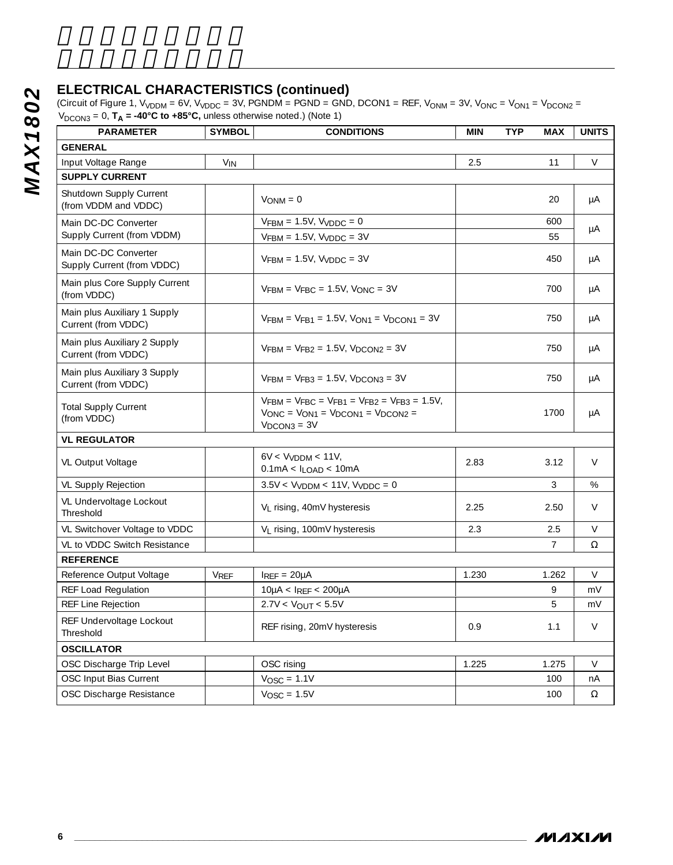#### **ELECTRICAL CHARACTERISTICS (continued)**

| <b>PARAMETER</b>                                    | <b>SYMBOL</b>         | <b>CONDITIONS</b>                                                                                                                                     | <b>MIN</b> | <b>TYP</b> | <b>MAX</b>      | <b>UNITS</b> |
|-----------------------------------------------------|-----------------------|-------------------------------------------------------------------------------------------------------------------------------------------------------|------------|------------|-----------------|--------------|
| <b>GENERAL</b>                                      |                       |                                                                                                                                                       |            |            |                 |              |
| Input Voltage Range                                 | <b>V<sub>IN</sub></b> |                                                                                                                                                       | 2.5        |            | 11              | V            |
| <b>SUPPLY CURRENT</b>                               |                       |                                                                                                                                                       |            |            |                 |              |
| Shutdown Supply Current<br>(from VDDM and VDDC)     |                       | $V_{ONM} = 0$                                                                                                                                         |            |            | 20              | μA           |
| Main DC-DC Converter                                |                       | $VFBM = 1.5V$ , $VVDDC = 0$                                                                                                                           |            |            | 600             |              |
| Supply Current (from VDDM)                          |                       | $VFBM = 1.5V$ , $VVDDC = 3V$                                                                                                                          |            |            | 55              | μA           |
| Main DC-DC Converter<br>Supply Current (from VDDC)  |                       | $VFBM = 1.5V$ , $VVDDC = 3V$                                                                                                                          |            |            | 450             | μA           |
| Main plus Core Supply Current<br>(from VDDC)        |                       | $V$ FBM = $V$ FBC = 1.5V, $V$ ONC = 3V                                                                                                                |            |            | 700             | μA           |
| Main plus Auxiliary 1 Supply<br>Current (from VDDC) |                       | $V$ FBM = $V$ FB1 = 1.5V, $V_{ON1}$ = $V_{DCON1}$ = 3V                                                                                                |            |            | 750             | μA           |
| Main plus Auxiliary 2 Supply<br>Current (from VDDC) |                       | $VFBM = VFB2 = 1.5V$ , $VDCON2 = 3V$                                                                                                                  |            |            | 750             | μA           |
| Main plus Auxiliary 3 Supply<br>Current (from VDDC) |                       | $VFBM = VFB3 = 1.5V$ , $VDCON3 = 3V$                                                                                                                  |            |            | 750             | μA           |
| <b>Total Supply Current</b><br>(from VDDC)          |                       | $V$ FBM = $V$ FBC = $V$ FB1 = $V$ FB2 = $V$ FB3 = 1.5V,<br>$V_{\text{ONC}} = V_{\text{ON1}} = V_{\text{DCON1}} = V_{\text{DCON2}} =$<br>$VDCON3 = 3V$ |            |            | 1700            | μA           |
| <b>VL REGULATOR</b>                                 |                       |                                                                                                                                                       |            |            |                 |              |
| VL Output Voltage                                   |                       | $6V < V_{VDDM} < 11V$<br>$0.1mA < I_{LOAD} < 10mA$                                                                                                    | 2.83       |            | 3.12            | V            |
| <b>VL Supply Rejection</b>                          |                       | $3.5V < VVDDM < 11V$ , $VVDDC = 0$                                                                                                                    |            |            | 3               | %            |
| VL Undervoltage Lockout<br>Threshold                |                       | V <sub>L</sub> rising, 40mV hysteresis                                                                                                                | 2.25       |            | 2.50            | V            |
| VL Switchover Voltage to VDDC                       |                       | V <sub>L</sub> rising, 100mV hysteresis                                                                                                               | 2.3        |            | 2.5             | V            |
| VL to VDDC Switch Resistance                        |                       |                                                                                                                                                       |            |            | $7\overline{ }$ | Ω            |
| <b>REFERENCE</b>                                    |                       |                                                                                                                                                       |            |            |                 |              |
| Reference Output Voltage                            | VREF                  | $I_{REF} = 20\mu A$                                                                                                                                   | 1.230      |            | 1.262           | V            |
| <b>REF Load Regulation</b>                          |                       | $10\mu$ A < IREF < 200 $\mu$ A                                                                                                                        |            |            | 9               | mV           |
| REF Line Rejection                                  |                       | $2.7V < V_{OUT} < 5.5V$                                                                                                                               |            |            | 5               | mV           |
| REF Undervoltage Lockout<br>Threshold               |                       | REF rising, 20mV hysteresis                                                                                                                           | 0.9        |            | 1.1             | V            |
| <b>OSCILLATOR</b>                                   |                       |                                                                                                                                                       |            |            |                 |              |
| OSC Discharge Trip Level                            |                       | OSC rising                                                                                                                                            | 1.225      |            | 1.275           | V            |
| OSC Input Bias Current                              |                       | $V_{\text{OSC}} = 1.1V$                                                                                                                               |            |            | 100             | nA           |
| OSC Discharge Resistance                            |                       | $V_{\text{OSC}} = 1.5V$                                                                                                                               |            |            | 100             | Ω            |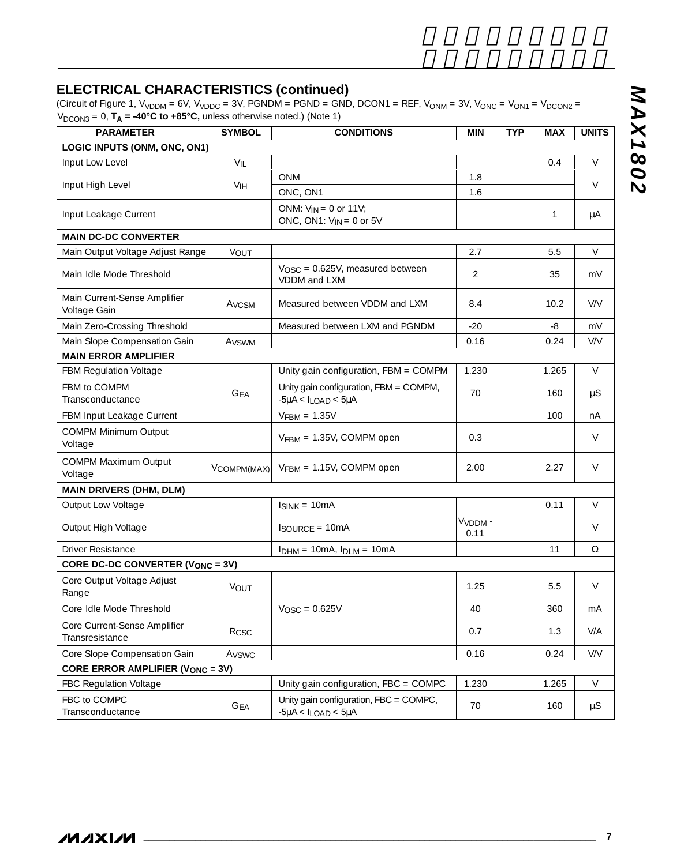### **ELECTRICAL CHARACTERISTICS (continued)**

(Circuit of Figure 1, V<sub>VDDM</sub> = 6V, V<sub>VDDC</sub> = 3V, PGNDM = PGND = GND, DCON1 = REF, V<sub>ONM</sub> = 3V, V<sub>ONC</sub> = V<sub>ON1</sub> = V<sub>DCON2</sub> =  $\rm V_{DCON3}$  = 0,  $\rm T_A$  = -40°C to +85°C, unless otherwise noted.) (Note 1)

| <b>PARAMETER</b>                                | <b>SYMBOL</b>              | <b>CONDITIONS</b>                                                       | <b>MIN</b>                  | <b>TYP</b> | <b>MAX</b> | <b>UNITS</b> |
|-------------------------------------------------|----------------------------|-------------------------------------------------------------------------|-----------------------------|------------|------------|--------------|
| LOGIC INPUTS (ONM, ONC, ON1)                    |                            |                                                                         |                             |            |            |              |
| Input Low Level                                 | VIL                        |                                                                         |                             |            | 0.4        | V            |
|                                                 |                            | <b>ONM</b>                                                              | 1.8                         |            |            | V            |
| Input High Level                                | V <sub>IH</sub>            | ONC, ON1                                                                | 1.6                         |            |            |              |
| Input Leakage Current                           |                            | ONM: $V_{IN} = 0$ or 11V;<br>ONC, ON1: $V_{IN} = 0$ or 5V               |                             |            | 1          | μA           |
| <b>MAIN DC-DC CONVERTER</b>                     |                            |                                                                         |                             |            |            |              |
| Main Output Voltage Adjust Range                | VOUT                       |                                                                         | 2.7                         |            | 5.5        | $\vee$       |
| Main Idle Mode Threshold                        |                            | $V_{\text{OSC}} = 0.625V$ , measured between<br>VDDM and LXM            | 2                           |            | 35         | mV           |
| Main Current-Sense Amplifier<br>Voltage Gain    | A <sub>VCSM</sub>          | Measured between VDDM and LXM                                           | 8.4                         |            | 10.2       | V/V          |
| Main Zero-Crossing Threshold                    |                            | Measured between LXM and PGNDM                                          | $-20$                       |            | -8         | mV           |
| Main Slope Compensation Gain                    | Avswm                      |                                                                         | 0.16                        |            | 0.24       | V/V          |
| <b>MAIN ERROR AMPLIFIER</b>                     |                            |                                                                         |                             |            |            |              |
| <b>FBM Regulation Voltage</b>                   |                            | Unity gain configuration, FBM = COMPM                                   | 1.230                       |            | 1.265      | $\vee$       |
| FBM to COMPM<br>Transconductance                | <b>GEA</b>                 | Unity gain configuration, FBM = COMPM,<br>$-5\mu A < I_{LOAD} < 5\mu A$ | 70                          |            | 160        | $\mu$ S      |
| FBM Input Leakage Current                       |                            | $VFBM = 1.35V$                                                          |                             |            | 100        | nA           |
| <b>COMPM Minimum Output</b><br>Voltage          |                            | VFBM = 1.35V, COMPM open                                                | 0.3                         |            |            | V            |
| COMPM Maximum Output<br>Voltage                 | VCOMPM(MAX)                | $VFBM = 1.15V$ , COMPM open                                             | 2.00                        |            | 2.27       | $\vee$       |
| <b>MAIN DRIVERS (DHM, DLM)</b>                  |                            |                                                                         |                             |            |            |              |
| Output Low Voltage                              |                            | $I_{SINK} = 10mA$                                                       |                             |            | 0.11       | $\vee$       |
| Output High Voltage                             |                            | $I_{\text{SOURCE}} = 10 \text{mA}$                                      | V <sub>VDDM</sub> -<br>0.11 |            |            | V            |
| <b>Driver Resistance</b>                        |                            | $I_{DHM} = 10mA$ , $I_{DLM} = 10mA$                                     |                             |            | 11         | Ω            |
| <b>CORE DC-DC CONVERTER (VONC = 3V)</b>         |                            |                                                                         |                             |            |            |              |
| Core Output Voltage Adjust<br>Range             | VOUT                       |                                                                         | 1.25                        |            | 5.5        | V            |
| Core Idle Mode Threshold                        |                            | $V_{\text{OSC}} = 0.625V$                                               | 40                          |            | 360        | mA           |
| Core Current-Sense Amplifier<br>Transresistance | Rcsc                       |                                                                         | 0.7                         |            | 1.3        | V/A          |
| Core Slope Compensation Gain                    | Avswc                      |                                                                         | 0.16                        |            | 0.24       | V/V          |
| <b>CORE ERROR AMPLIFIER (VONC = 3V)</b>         |                            |                                                                         |                             |            |            |              |
| FBC Regulation Voltage                          |                            | Unity gain configuration, $FBC = COMPC$                                 | 1.230                       |            | 1.265      | V            |
| FBC to COMPC<br>Transconductance                | $\mathsf{G}_{\mathsf{EA}}$ | Unity gain configuration, FBC = COMPC,<br>$-5\mu A < I_{LOAD} < 5\mu A$ | 70                          |            | 160        | μS           |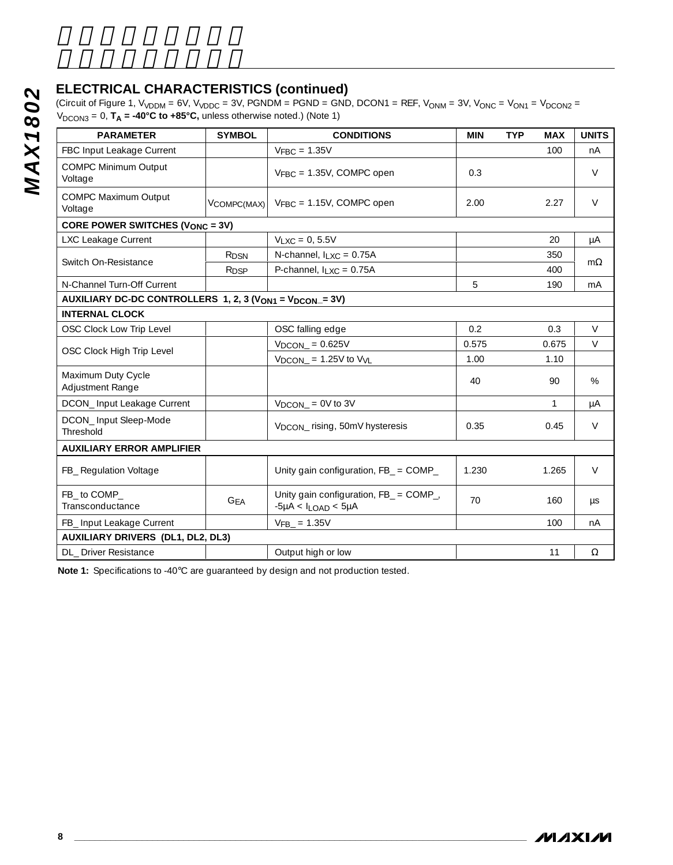#### **ELECTRICAL CHARACTERISTICS (continued)**

|                                                                                 |                  | $V_{DCON3}$ = 0, $T_A$ = -40°C to +85°C, unless otherwise noted.) (Note 1) |            |            |              |              |
|---------------------------------------------------------------------------------|------------------|----------------------------------------------------------------------------|------------|------------|--------------|--------------|
| <b>PARAMETER</b>                                                                | <b>SYMBOL</b>    | <b>CONDITIONS</b>                                                          | <b>MIN</b> | <b>TYP</b> | <b>MAX</b>   | <b>UNITS</b> |
| FBC Input Leakage Current                                                       |                  | $V_{\text{FBC}} = 1.35V$                                                   |            |            | 100          | nA           |
| <b>COMPC Minimum Output</b><br>Voltage                                          |                  | $V_{FBC}$ = 1.35V, COMPC open                                              | 0.3        |            |              | V            |
| COMPC Maximum Output<br>Voltage                                                 | VCOMPC(MAX)      | $V_{\text{FBC}} = 1.15V$ , COMPC open                                      | 2.00       |            | 2.27         | V            |
| CORE POWER SWITCHES (VONC = 3V)                                                 |                  |                                                                            |            |            |              |              |
| LXC Leakage Current                                                             |                  | $V_{LXC} = 0, 5.5V$                                                        |            |            | 20           | μA           |
| Switch On-Resistance                                                            | R <sub>DSN</sub> | N-channel, $I_{LXC} = 0.75A$                                               |            |            | 350          | $m\Omega$    |
|                                                                                 | R <sub>DSP</sub> | P-channel, $I_{LXC} = 0.75A$                                               |            |            | 400          |              |
| N-Channel Turn-Off Current                                                      |                  |                                                                            | 5          |            | 190          | mA           |
| AUXILIARY DC-DC CONTROLLERS 1, 2, 3 (V <sub>ON1</sub> = V <sub>DCON</sub> = 3V) |                  |                                                                            |            |            |              |              |
| <b>INTERNAL CLOCK</b>                                                           |                  |                                                                            |            |            |              |              |
| OSC Clock Low Trip Level                                                        |                  | OSC falling edge                                                           | 0.2        |            | 0.3          | V            |
| OSC Clock High Trip Level                                                       |                  | $VDCON = 0.625V$                                                           | 0.575      |            | 0.675        | $\vee$       |
|                                                                                 |                  | $V_{DCON}$ = 1.25V to $V_{VL}$                                             | 1.00       |            | 1.10         |              |
| Maximum Duty Cycle<br>Adjustment Range                                          |                  |                                                                            | 40         |            | 90           | %            |
| DCON_Input Leakage Current                                                      |                  | $V_{DCON}$ = 0V to 3V                                                      |            |            | $\mathbf{1}$ | μA           |
| DCON_Input Sleep-Mode<br>Threshold                                              |                  | V <sub>DCON</sub> rising, 50mV hysteresis                                  | 0.35       |            | 0.45         | V            |
| <b>AUXILIARY ERROR AMPLIFIER</b>                                                |                  |                                                                            |            |            |              |              |
| FB_ Regulation Voltage                                                          |                  | Unity gain configuration, FB_ = COMP_                                      | 1.230      |            | 1.265        | V            |
| FB_ to COMP_<br>Transconductance                                                | <b>GFA</b>       | Unity gain configuration, FB_ = COMP_,<br>$-5\mu A < I_{LOAD} < 5\mu A$    | 70         |            | 160          | μs           |
| FB_ Input Leakage Current                                                       |                  | $VFB = 1.35V$                                                              |            |            | 100          | nA           |
| <b>AUXILIARY DRIVERS (DL1, DL2, DL3)</b>                                        |                  |                                                                            |            |            |              |              |
| DL_ Driver Resistance                                                           |                  | Output high or low                                                         |            |            |              |              |

**Note 1:** Specifications to -40°C are guaranteed by design and not production tested.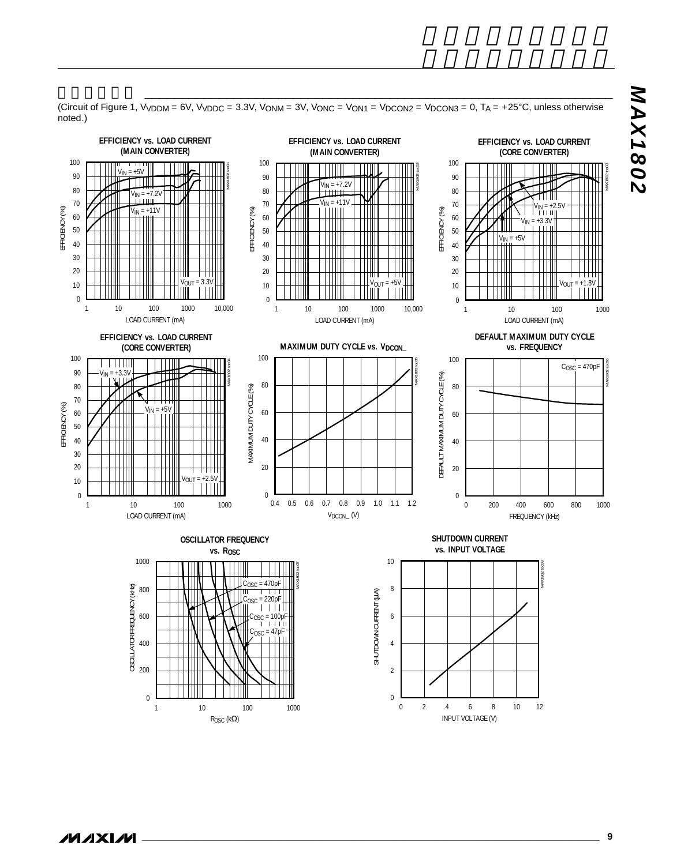

 $\boldsymbol{0}$ 

INPUT VOLTAGE (V)

(Circuit of Figure 1,  $V_{VDDM} = 6V$ ,  $V_{VDDC} = 3.3V$ ,  $V_{ONM} = 3V$ ,  $V_{ONC} = V_{ON1} = V_{DCON2} = V_{DCON3} = 0$ ,  $T_A = +25°C$ , unless otherwise noted.)

 $\frac{1}{\sqrt{2}}$  . The set of the set of the set of the set of the set of the set of the set of the set of the set of the set of the set of the set of the set of the set of the set of the set of the set of the set of the set

0

1 10 100 1000

ROSC (kΩ)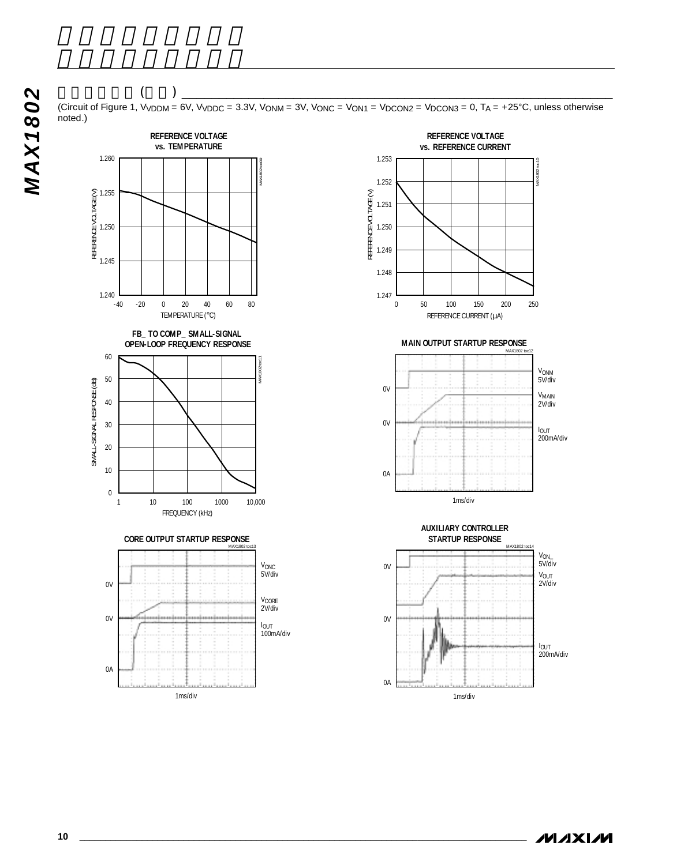### $\left(\begin{array}{c} \begin{array}{c} \begin{array}{c} \begin{array}{c} \end{array}\\ \end{array}\right)\end{array}$

(Circuit of Figure 1, V<sub>VDDM</sub> = 6V, V<sub>VDDC</sub> = 3.3V, V<sub>ONM</sub> = 3V, V<sub>ONC</sub> = V<sub>ON1</sub> = V<sub>DCON2</sub> = V<sub>DCON3</sub> = 0, T<sub>A</sub> = +25°C, unless otherwise noted.)



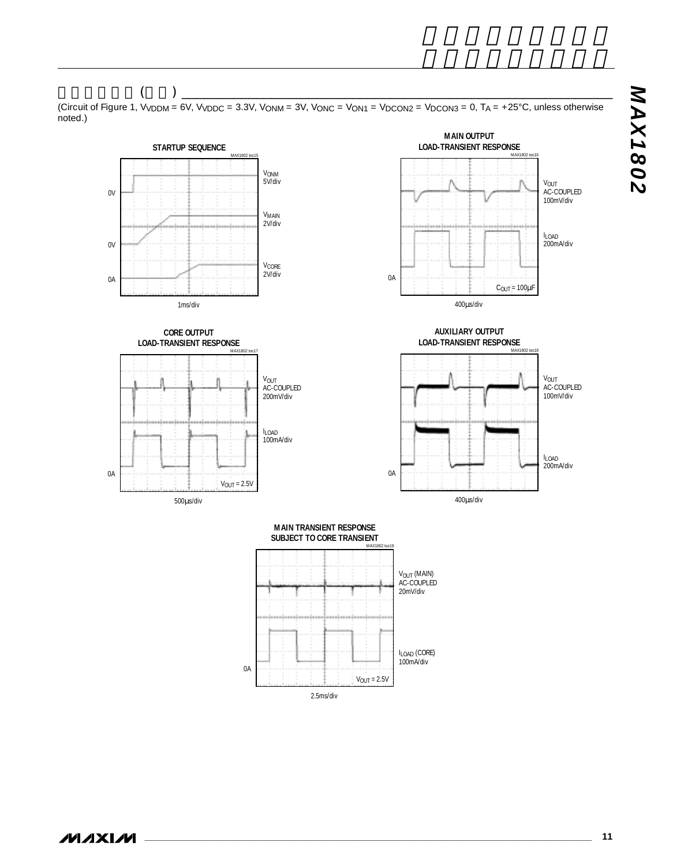$\left(\begin{array}{c} \begin{array}{c} \begin{array}{c} \begin{array}{c} \end{array}\\ \end{array}\right)\end{array}$ 

(Circuit of Figure 1, V<sub>VDDM</sub> = 6V, V<sub>VDDC</sub> = 3.3V, V<sub>ONM</sub> = 3V, V<sub>ONC</sub> = V<sub>ON1</sub> = V<sub>DCON2</sub> = V<sub>DCON3</sub> = 0, T<sub>A</sub> = +25°C, unless otherwise noted.)

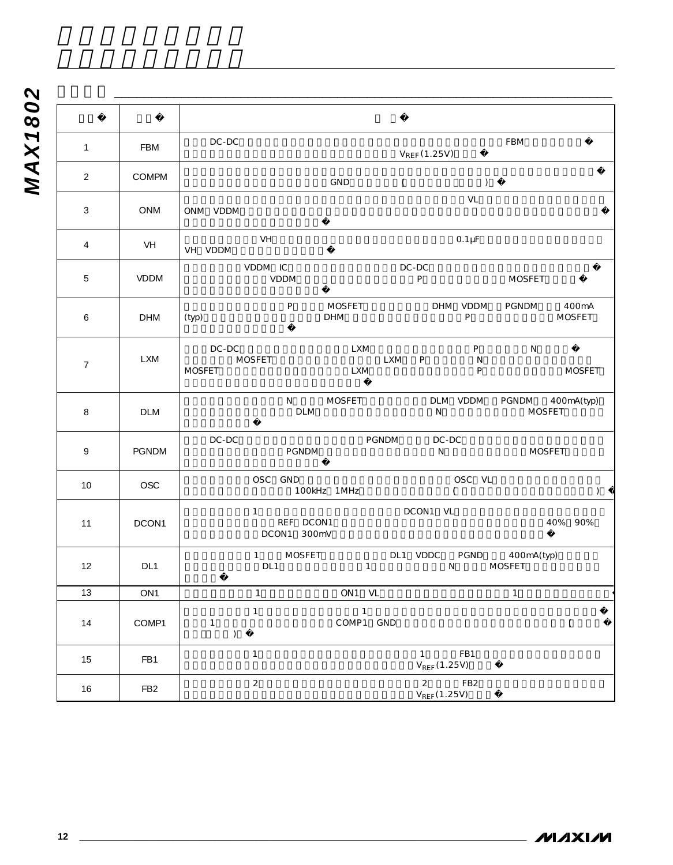| 1                | <b>FBM</b>      | DC-DC<br>FBM<br>$V_{REF}(1.25V)$                                                                                              |
|------------------|-----------------|-------------------------------------------------------------------------------------------------------------------------------|
| $\overline{2}$   | COMPM           | GND<br>$\overline{(\ }$<br>$\lambda$                                                                                          |
| 3                | <b>ONM</b>      | VL<br>ONM VDDM                                                                                                                |
| $\overline{4}$   | VH              | VH<br>$0.1 \mu F$<br>VH VDDM                                                                                                  |
| 5                | <b>VDDM</b>     | VDDM IC<br>$DC-DC$<br>VDDM<br>P<br><b>MOSFET</b>                                                                              |
| 6                | <b>DHM</b>      | $\sf P$<br><b>MOSFET</b><br>DHM VDDM<br>PGNDM<br>400mA<br>P<br><b>DHM</b><br><b>MOSFET</b><br>(typ)                           |
| $\boldsymbol{7}$ | <b>LXM</b>      | $\sf P$<br>$DC-DC$<br><b>LXM</b><br>${\sf N}$<br><b>MOSFET</b><br>LXM<br>P<br>N<br>P<br><b>MOSFET</b><br><b>MOSFET</b><br>LXM |
| 8                | <b>DLM</b>      | N<br><b>MOSFET</b><br>DLM VDDM<br>PGNDM<br>400mA(typ)<br>DLM<br>N<br><b>MOSFET</b>                                            |
| 9                | <b>PGNDM</b>    | $DC-DC$<br>$DC-DC$<br>PGNDM<br>PGNDM<br>${\sf N}$<br><b>MOSFET</b>                                                            |
| 10               | OSC             | OSC GND<br>OSC VL<br>100kHz 1MHz                                                                                              |
| 11               | DCON1           | DCON1 VL<br>$\mathbf{1}$<br>REF DCON1<br>40%<br>90%<br>DCON1 300mV                                                            |
| 12               | DL1             | 1 MOSFET<br>DL1 VDDC PGND 400mA(typ)<br>DL1<br><b>MOSFET</b><br>$\mathbf{1}$<br>N                                             |
| 13               | ON <sub>1</sub> | $\mathbf{1}$<br>ON1 VL<br>$\mathbf{1}$                                                                                        |
| 14               | COMP1           | $\mathbf{1}$<br>$\mathbf{1}$<br>COMP1 GND<br>$\mathbf{1}$<br>$\left($<br>$\big)$                                              |
| 15               | FB1             | $\mathbf{1}$<br>FB1<br>1<br>$V_{REF}(1.25V)$                                                                                  |
| 16               | FB <sub>2</sub> | $\overline{2}$<br>$\overline{2}$<br>FB <sub>2</sub><br>$V_{REF}(1.25V)$                                                       |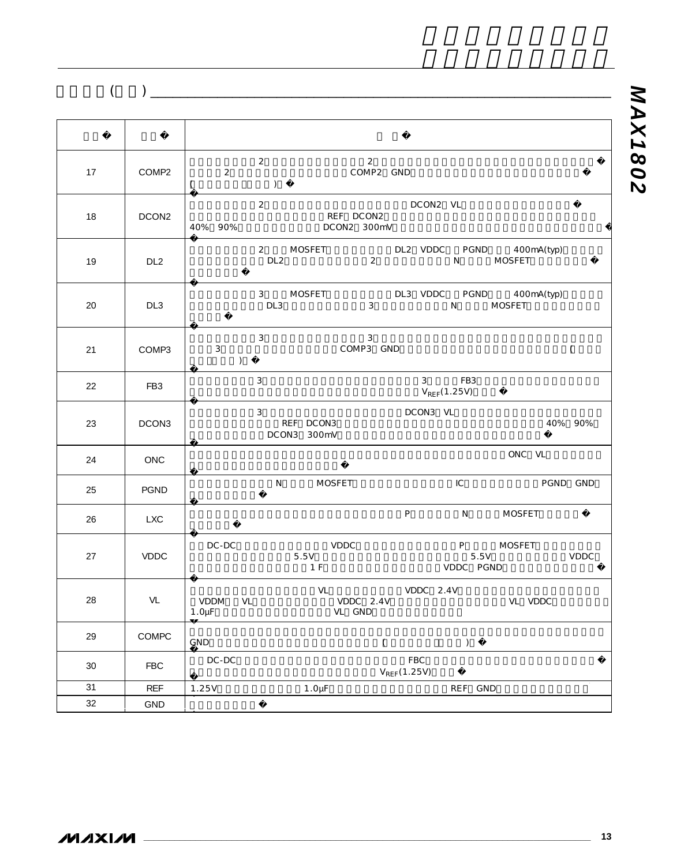端子説明(続き) \_\_\_\_\_\_\_\_\_\_\_\_\_\_\_\_\_\_\_\_\_\_\_\_\_\_\_\_\_\_\_\_\_\_\_\_\_\_\_\_\_\_\_\_\_\_\_\_\_\_\_\_\_\_\_\_\_\_\_\_\_\_

| 17 | COMP2           | $\overline{2}$<br>2<br>$\sqrt{2}$<br>COMP2 GND<br>$\lambda$<br>$\left($               |
|----|-----------------|---------------------------------------------------------------------------------------|
| 18 | DCON2           | $\overline{2}$<br>DCON2 VL<br>REF DCON2<br>40% 90%<br>DCON2 300mV                     |
| 19 | DL <sub>2</sub> | 2 MOSFET<br>DL2 VDDC PGND 400mA(typ)<br>N MOSFET<br>DL <sub>2</sub><br>$\overline{2}$ |
| 20 | DL <sub>3</sub> | 3 MOSFET<br>DL3 VDDC PGND 400mA(typ)<br>DL3<br>$\mathbf{3}$<br>N<br><b>MOSFET</b>     |
| 21 | COMP3           | $\mathbf{3}$<br>3<br>3<br>COMP3 GND<br>$\overline{(\ }$<br>$\lambda$                  |
| 22 | FB3             | $\mathbf{3}$<br>$3^{\circ}$<br>FB3<br>$V_{REF}(1.25V)$                                |
| 23 | DCON3           | 3<br>DCON3 VL<br>REF DCON3<br>40% 90%<br>DCON3 300mV                                  |
| 24 | ONC             | ONC VL                                                                                |
| 25 | PGND            | IC<br>N<br><b>MOSFET</b><br>PGND GND                                                  |
| 26 | <b>LXC</b>      | P<br>N<br><b>MOSFET</b>                                                               |
| 27 | <b>VDDC</b>     | $DC-DC$<br><b>VDDC</b><br>P MOSFET<br>5.5V<br>5.5V<br>VDDC<br>1 F<br>VDDC PGND        |
| 28 | VL              | VL<br>VDDC 2.4V<br>VL<br>VDDC 2.4V<br>VL VDDC<br>VDDM<br>$1.0 \mu F$<br>VL GND        |
| 29 | COMPC           | GND<br>$\overline{\phantom{a}}$<br>$\big)$                                            |
| 30 | <b>FBC</b>      | FBC<br>DC-DC<br>$V_{REF}(1.25V)$                                                      |
| 31 | <b>REF</b>      | 1.25V<br>$1.0 \mu F$<br>REF GND                                                       |
| 32 | <b>GND</b>      |                                                                                       |

<u> 1980 - Johann Barn, marwolaethau a bhann an t-Albann an t-Albann an t-Albann an t-Albann an t-Albann an t-Alb</u>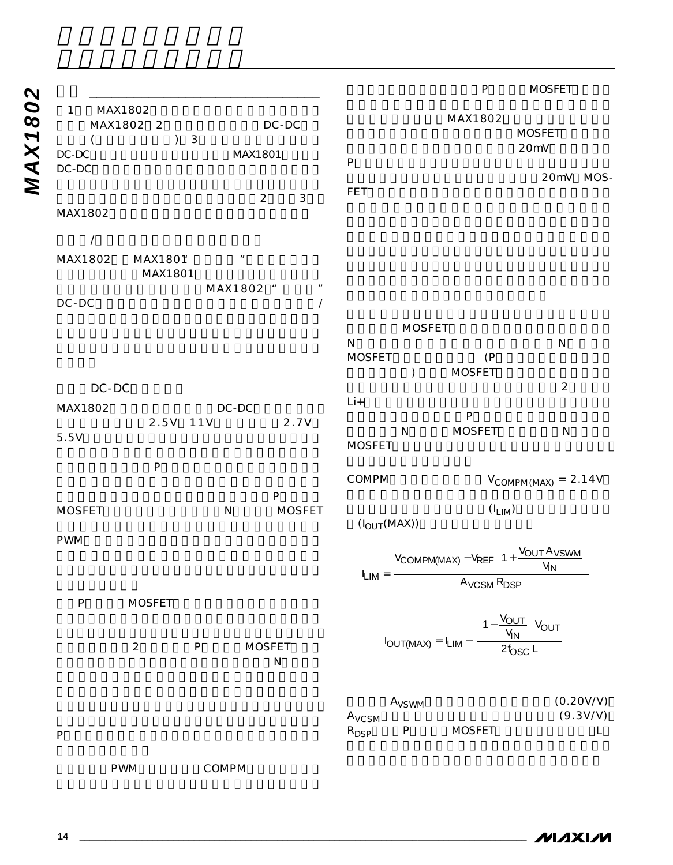|                                                       |                                         |               |                                |                   | $\mathsf{P}$         | <b>MOSFET</b>                                                                                                                                                   |                       |
|-------------------------------------------------------|-----------------------------------------|---------------|--------------------------------|-------------------|----------------------|-----------------------------------------------------------------------------------------------------------------------------------------------------------------|-----------------------|
| $\mathbf{1}$<br>MAX1802<br>MAX1802 2<br>$\mathcal{E}$ | DC-DC<br>$\sqrt{3}$                     |               |                                |                   | MAX1802              | <b>MOSFET</b>                                                                                                                                                   |                       |
| $DC-DC$<br>DC-DC                                      | MAX1801                                 |               | $\sf P$                        |                   |                      | 20mV<br>20mV MOS-                                                                                                                                               |                       |
|                                                       | $\overline{2}$                          | $\mathbf{3}$  | FET                            |                   |                      |                                                                                                                                                                 |                       |
| MAX1802<br>$\prime$                                   |                                         |               |                                |                   |                      |                                                                                                                                                                 |                       |
| MAX1802<br>MAX1801<br>MAX1801                         | $\boldsymbol{\mathit{II}}$              |               |                                |                   |                      |                                                                                                                                                                 |                       |
| $DC-DC$                                               | MAX1802 "                               | $\prime$      |                                |                   |                      |                                                                                                                                                                 |                       |
|                                                       |                                         |               |                                | <b>MOSFET</b>     |                      |                                                                                                                                                                 |                       |
|                                                       |                                         |               | $\mathsf{N}$<br><b>MOSFET</b>  |                   | (P)<br><b>MOSFET</b> | ${\sf N}$                                                                                                                                                       |                       |
| DC-DC                                                 |                                         |               |                                |                   |                      | $\overline{2}$                                                                                                                                                  |                       |
| MAX1802                                               | DC-DC                                   |               | $Li+$                          |                   | ${\sf P}$            |                                                                                                                                                                 |                       |
| 5.5V                                                  | 2.5V 11V                                | 2.7V          | <b>MOSFET</b>                  | N                 | <b>MOSFET</b>        | $\mathsf{N}$                                                                                                                                                    |                       |
| ${\sf P}$                                             |                                         |               | COMPM                          |                   |                      | $V_{COMPM(MAX)} = 2.14V$                                                                                                                                        |                       |
| <b>MOSFET</b>                                         | ${\sf P}$<br>${\sf N}$                  | <b>MOSFET</b> | $(I_{\text{OUT}}(\text{MAX}))$ |                   | $(I_{LIM})$          |                                                                                                                                                                 |                       |
| <b>PWM</b>                                            |                                         |               |                                |                   |                      | $I_{LIM} = \frac{V_{COMPM(MAX)} - V_{REF}\left(1 + \frac{V_{OUT} A_{VSWM}}{V_{IN}}\right)}{A_{VCSM} R_{DSP}}$                                                   |                       |
| <b>MOSFET</b><br>${\sf P}$                            |                                         |               |                                |                   |                      |                                                                                                                                                                 |                       |
| $\sqrt{2}$                                            | <b>MOSFET</b><br>${\sf P}$<br>${\sf N}$ |               |                                |                   |                      | $I_{\text{OUT}(\text{MAX})} = I_{\text{LIM}} - \left\{ \frac{\left(1 - \frac{V_{\text{OUT}}}{V_{\text{IN}}}\right) V_{\text{OUT}}}{2f_{\text{OSC}} L} \right\}$ |                       |
|                                                       |                                         |               | A <sub>VCSM</sub>              | A <sub>VSWM</sub> |                      |                                                                                                                                                                 | (0.20V/V)<br>(9.3V/V) |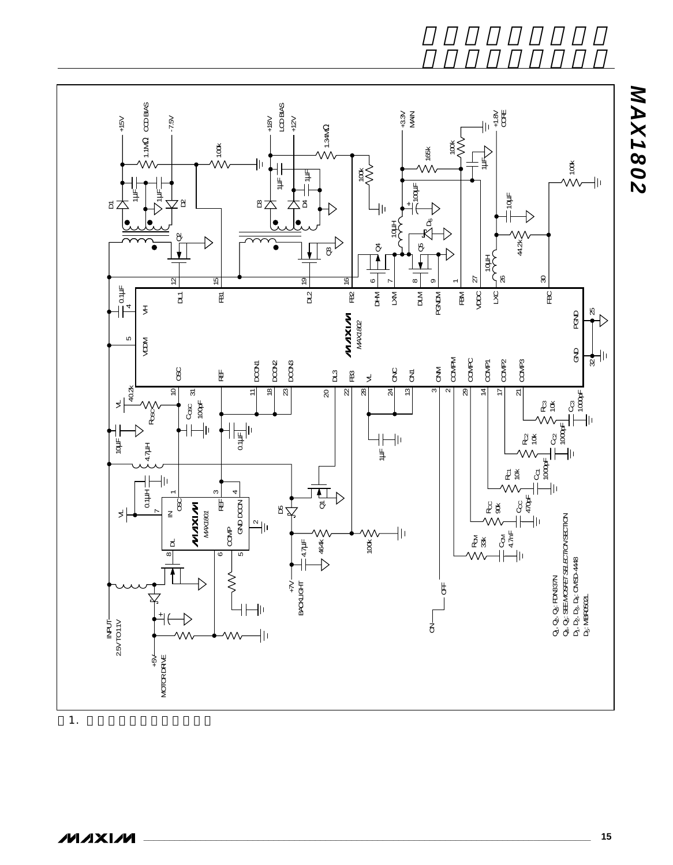

 $\mathbf{1}$ . The results is a set of  $\mathbf{1}$ .

*MAX1802*

**MAX1802**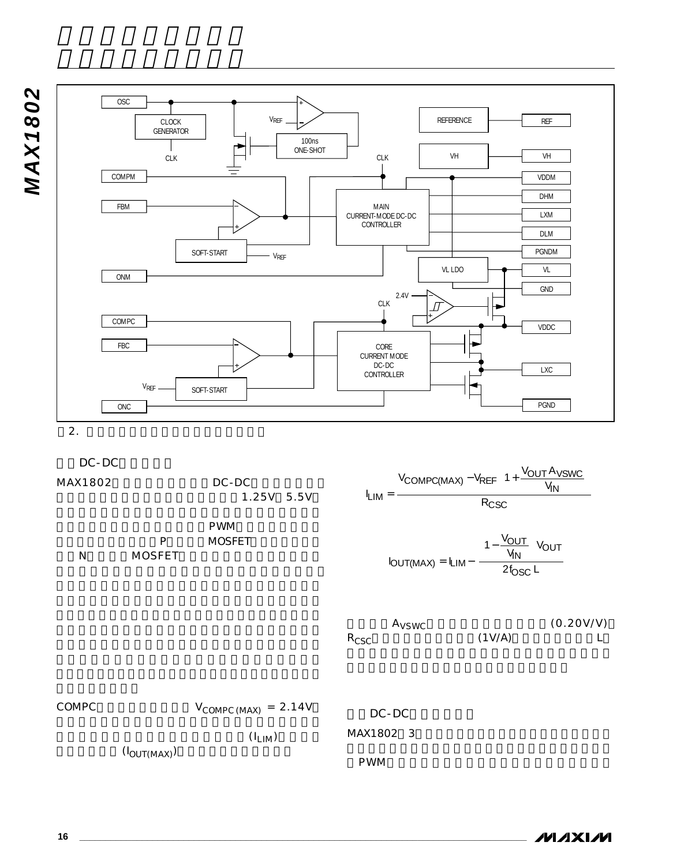

DC-DC

MAX1802 DC-DC

1.25V 5.5V

PWM P MOSFET N MOSFET

 $I_{LIM} =$ V<sub>COMPC(MAX)</sub> — V<sub>REF</sub> (1 + <u>Vout Avswc</u> R CSC  $I_{\text{OUT}(MAX)} = I$ V  $\frac{U U T}{V_{\text{IN}}}$   $V_{\text{N}}$  $\text{OUT}(\text{MAX}) = \text{LIM} - \left( \frac{1}{2} \right)$ IN <u>OUT</u>  $\left(\frac{1}{N}\right)^{V}$ OUT OSC  $V_{\text{REF}}\left(1+\frac{V_{\text{OUT}}A_{\text{VSWC}}}{V_{\text{IN}}}\right)$ = I<sub>LIM</sub>–  $\left(1-\frac{\mathsf{V_{OUT}}}{\mathsf{V_{IN}}}\right)$ L L L L L L L  $\overline{\phantom{a}}$ J  $\overline{\phantom{a}}$  $\overline{\phantom{a}}$  $\overline{\phantom{a}}$  $\overline{\phantom{a}}$ I  $(MAX)$ 1 2



COMPC  $V_{COMPC(MAX)} = 2.14V$  $(I_{LIM})$  $(I<sub>OUT(MAX)</sub>)$ DC-DC MAX1802 3 PWM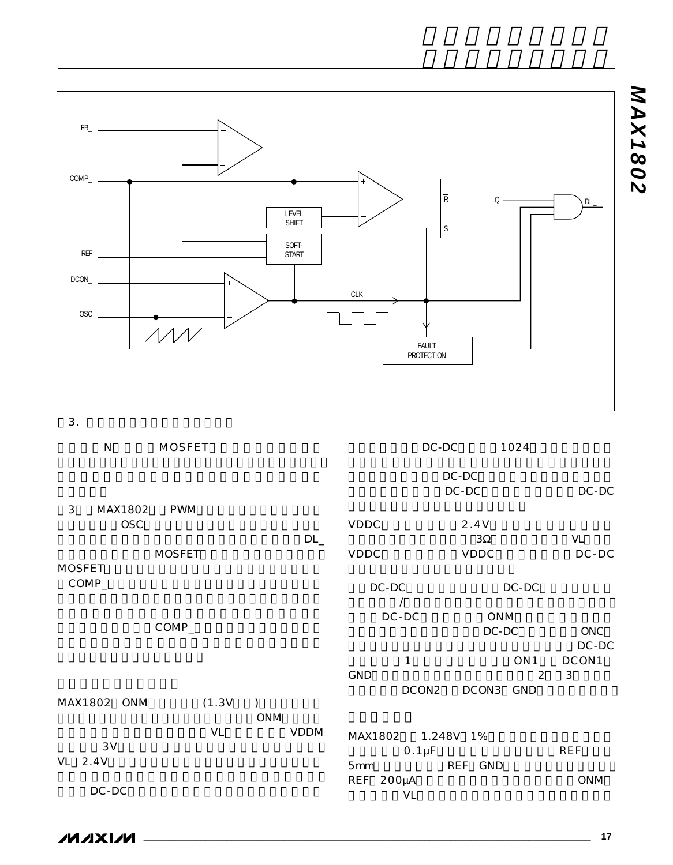

| N            | <b>MOSFET</b> |            |                          | $DC-DC$        | 1024            |                       |
|--------------|---------------|------------|--------------------------|----------------|-----------------|-----------------------|
|              |               |            |                          | DC-DC          |                 |                       |
|              |               |            |                          | $DC-DC$        |                 | DC-DC                 |
| 3<br>MAX1802 | <b>PWM</b>    |            |                          |                |                 |                       |
| <b>OSC</b>   |               |            | VDDC                     | 2.4V           |                 |                       |
|              |               | $DL_{-}$   |                          | $3\Omega$      |                 | VL                    |
|              | <b>MOSFET</b> |            | VDDC                     | VDDC           |                 | $DC-DC$               |
| MOSFET       |               |            |                          |                |                 |                       |
| $COMP_$      |               |            | $DC-DC$                  |                | DC-DC           |                       |
|              |               |            | $\prime$                 |                |                 |                       |
|              | $COMP_$       |            | $DC-DC$                  |                | <b>ONM</b>      |                       |
|              |               |            |                          |                | $DC-DC$         | <b>ONC</b><br>$DC-DC$ |
|              |               |            | $\mathbf{1}$             |                | ON <sub>1</sub> | DCON1                 |
|              |               |            | GND                      |                | 2               | 3                     |
|              |               |            |                          | DCON2<br>DCON3 | GND             |                       |
| MAX1802 ONM  | (1.3V)        |            |                          |                |                 |                       |
|              |               | <b>ONM</b> |                          |                |                 |                       |
|              | <b>VL</b>     | VDDM       | MAX1802                  | 1.248V 1%      |                 |                       |
| 3V           |               |            | $0.1 \mu F$              |                |                 | <b>REF</b>            |
| VL<br>2.4V   |               |            | 5mm                      | REF GND        |                 |                       |
|              |               |            | <b>REF</b><br>$200\mu A$ |                |                 | <b>ONM</b>            |
| $DC-DC$      |               |            | VL                       |                |                 |                       |

MAXIM

 $3.$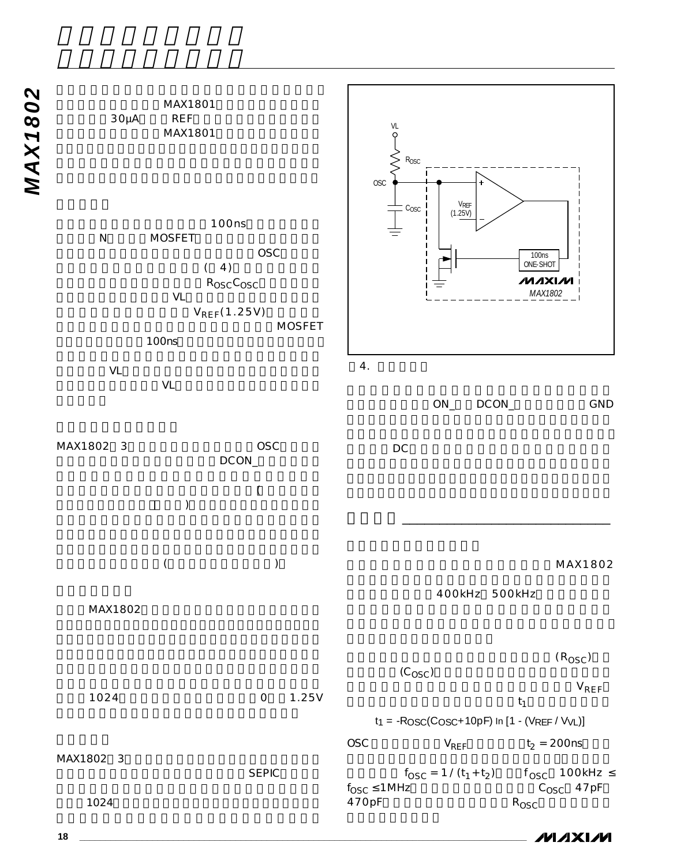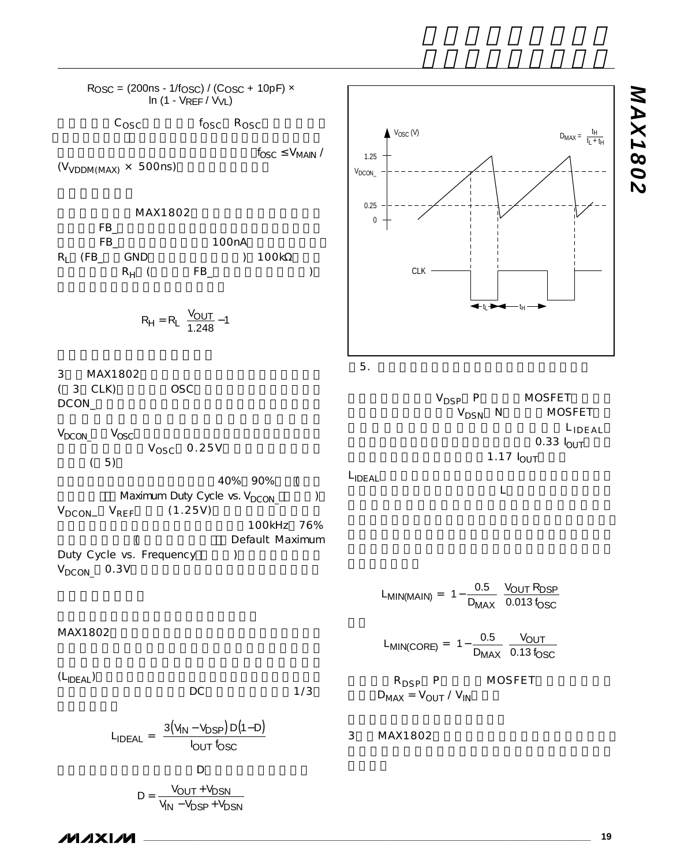R<sub>OSC</sub> = (200ns - 1/f<sub>OSC</sub>) / (C<sub>OSC</sub> + 10pF) **×** ln (1 - VREF / VVL)  $c_{\text{osc}}$   $f_{\text{osc}}$   $R_{\text{osc}}$  $f_{\ell}$  $f_{\rm OSC} \leq V_{\rm MAIN}$  /  $(V_{VDDM(MAX)} \times 500$ ns) MAX1802  $FB$ <sub> $-$ </sub> FB 100nA  $R_1$  (FB\_ GND ) 100kΩ  $R_H$  (FB\_ ) 3 MAX1802  $(3$  CLK) OSC DCON  $V_{DCON}$   $V_{OSC}$  $V_{\text{OSC}}$  0.25V  $(5)$ 40% 90% ( Maximum Duty Cycle vs.  $V_{DCON}$  ()  $V_{DCON}$   $V_{REF}$  (1.25V) 100kHz 76% (
Example 19 and the Default Maximum Duty Cycle vs. Frequency (a)  $V_{DCON}$  0.3V MAX1802  $(L_{\text{IDEAL}})$  DC 1/3  $DC$  and  $1/3$ D V<sub>DSP</sub> P MOSFET V<sub>DSN</sub> N MOSFET LIDEAL  $0.33$   $I_{\text{OUT}}$ 1.17  $I_{\text{OUT}}$ L<sub>IDEAL</sub> ますが、最大インダクタ電流はLが小さくなるについて R<sub>DSP</sub> P MOSFET  $D_{MAX} = V_{OUT} / V_{IN}$ 3 MAX1802  $L_{MIN(CORE)} = 1 - \frac{1}{D}$ V  $MIN(CORE) = \left(1 - \frac{D_{MAX}}{D_{MAX}}\right)$  0.13 f  $(CORE) = \left(1 - \frac{0.5}{D_{MAX}}\right) \frac{VOUT}{0.13 f_{OSC}}$  $=\left(1-\frac{0.5}{D_{MAX}}\right)\frac{1}{0.5}$  $\left( \right)$  $1 - \frac{0.5}{D_{MAX}} \frac{V_C}{0.13}$  $L_{MIN(MAIN)} = \left(1 - \frac{1}{D}\right)$ V<sub>OUT</sub> R  $MIN(MAIN) = \left(1 - \frac{1}{D_{MAX}}\right)$  0.013 f  $(MAIN) = \left(1 - \frac{0.5}{D_{MAX}}\right) \frac{VOUT NDSP}{0.013 f_{OSC}}$  $= \left(1 - \frac{0.5}{D_{MAX}}\right) \frac{V_C}{0.1}$  $\lambda$  $1 - \frac{0.5}{D_{MAX}} \frac{V_{OUT}}{0.013}$  $L_{\text{IDFAL}} = \frac{3(V_{\text{IN}} - V_{\text{DSP}})D(1-D)}{4(V_{\text{DSP}})D(1-D)}$  $IDEAL = \frac{3(V_{1N} - V_{DSP})}{I_{OUT}f_C}$ OUT <sup>I</sup>OSC  $=\left(\frac{3(V_{\text{IN}}-V_{\text{DSP}})D(1-D)}{4}\right)$ l  $\lambda$  $\overline{\phantom{a}}$  $3(V_{\rm IN}-V_{\rm DSP})D(1)$  $R_H = R_L \frac{V_{OUT}}{1.348} \left[\frac{V_{\text{OUT}}}{1.248}-1\right]$ tL $\blacktriangleright$ g $\blacksquare$ t $\blacksquare$ 1.25  $\bigwedge$  Vosc (V)  $V_{DCON}$ . 0.25 0 CLK  $D_{MAX} = \frac{t_H}{t_L + t_H}$  $5.$ 

**MAXIM** 

 $D = \frac{V_{OUT} + V_{DS}}{V_{IN} - V_{DSP} + V_{I}}$ 

 $= \frac{V_{\text{OUT}} + V_{\text{C}}}{V_{\text{IN}} - V_{\text{DSP}} + V_{\text{C}}}$ 

<u>OUT <sup>+ V</sup>DSN</u> IN <sup>— v</sup>DSP <sup>+</sup> <sup>v</sup>DSN

**\_\_\_\_\_\_\_\_\_\_\_\_\_\_\_\_\_\_\_\_\_\_\_\_\_\_\_\_\_\_\_\_\_\_\_\_\_\_\_\_\_\_\_\_\_\_\_\_\_\_\_\_\_\_\_\_\_\_\_\_\_\_\_\_\_\_\_\_\_\_\_\_\_\_\_\_\_\_\_\_\_\_\_\_\_\_ 19**

*MAX1802*

**MAX1802**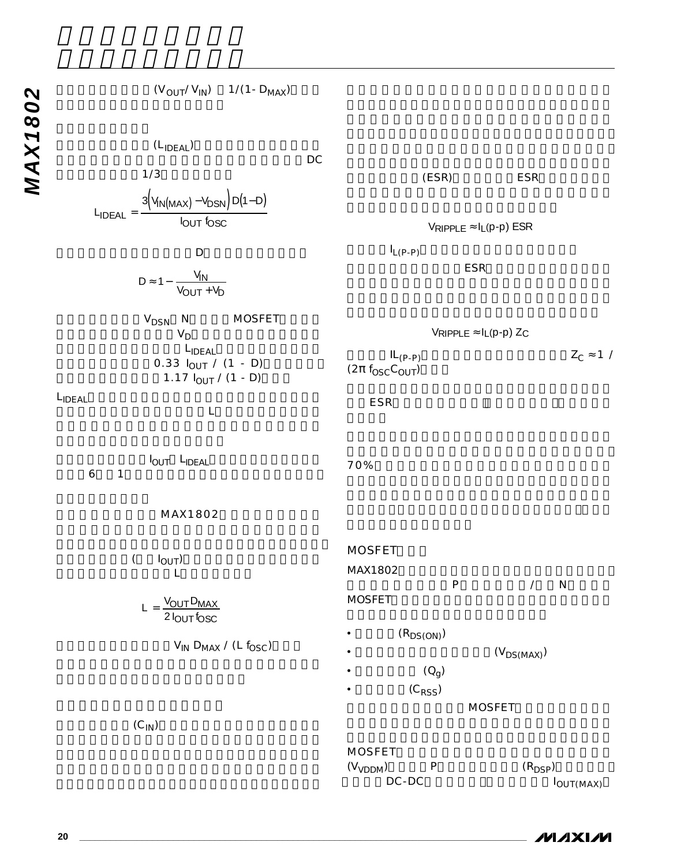| $(V_{OUT}/V_{IN})$ 1/(1 - $D_{MAX}$ )                                                                                         |      |                                                  |                |                                                |                   |
|-------------------------------------------------------------------------------------------------------------------------------|------|--------------------------------------------------|----------------|------------------------------------------------|-------------------|
| $(L_{\text{IDEAL}})$                                                                                                          | $DC$ |                                                  |                |                                                |                   |
| 1/3                                                                                                                           |      |                                                  | (ESR)          | ESR                                            |                   |
|                                                                                                                               |      |                                                  |                |                                                |                   |
| $L_{\text{IDEAL}} = \frac{3 \left( V_{\text{IN}(\text{MAX})} - V_{\text{DSN}} \right) D(1-D)}{I_{\text{OUT}} f_{\text{OSC}}}$ |      |                                                  |                | $V_{RIPPLE} \approx I_L(p-p) ESR$              |                   |
| D                                                                                                                             |      | $I_{L(P-P)}$                                     |                |                                                |                   |
| $D \approx 1 - \frac{V_{IN}}{V_{OUT} + V_D}$                                                                                  |      |                                                  |                | <b>ESR</b>                                     |                   |
| $V_{DSN}$ N<br>MOSFET<br>$V_D$                                                                                                |      |                                                  |                | $V$ RIPPLE $\approx$ $I_L(p-p)$ Z <sub>C</sub> |                   |
| LIDEAL<br>$0.33$ $I_{OUT}$ / (1 - D)<br>1.17 $I_{OUT}$ / (1 - D)                                                              |      | $IL_{(P-P)}$<br>$(2\pi f_{\rm OSC} C_{\rm OUT})$ |                |                                                | $Z_C \approx 1$ / |
| LIDEAL<br>$\mathsf L$                                                                                                         |      | ESR                                              |                |                                                |                   |
| IOUT LIDEAL<br>$\ddot{\mathbf{6}}$<br>1                                                                                       |      | 70%                                              |                |                                                |                   |
| MAX1802                                                                                                                       |      |                                                  |                |                                                |                   |
| $\overline{(\ }$<br>$I_{OUT}$<br>L                                                                                            |      | <b>MOSFET</b><br>MAX1802                         | ${\sf P}$      | $\sqrt{2}$                                     | N                 |
| $L = \frac{V_{OUT} D_{MAX}}{2 I_{OUT} f_{OSC}}$                                                                               |      | <b>MOSFET</b>                                    |                |                                                |                   |
| $V_{IN}$ D <sub>MAX</sub> / (L $f_{OSC}$ )                                                                                    |      |                                                  | $(R_{DS(ON)})$ |                                                |                   |
|                                                                                                                               |      |                                                  | $(Q_g)$        | $(V_{DS(MAX)})$                                |                   |
|                                                                                                                               |      |                                                  | $(C_{RSS})$    |                                                |                   |
|                                                                                                                               |      |                                                  |                | <b>MOSFET</b>                                  |                   |
| $(C_{1N})$                                                                                                                    |      |                                                  |                |                                                |                   |

| <b>IVIUJFEI</b>      |   |                       |
|----------------------|---|-----------------------|
| (V <sub>VDDM</sub> ) | D | $(R_{\text{DSP}})$    |
| $DC-DC$              |   | $I_{\text{OUT}(MAX)}$ |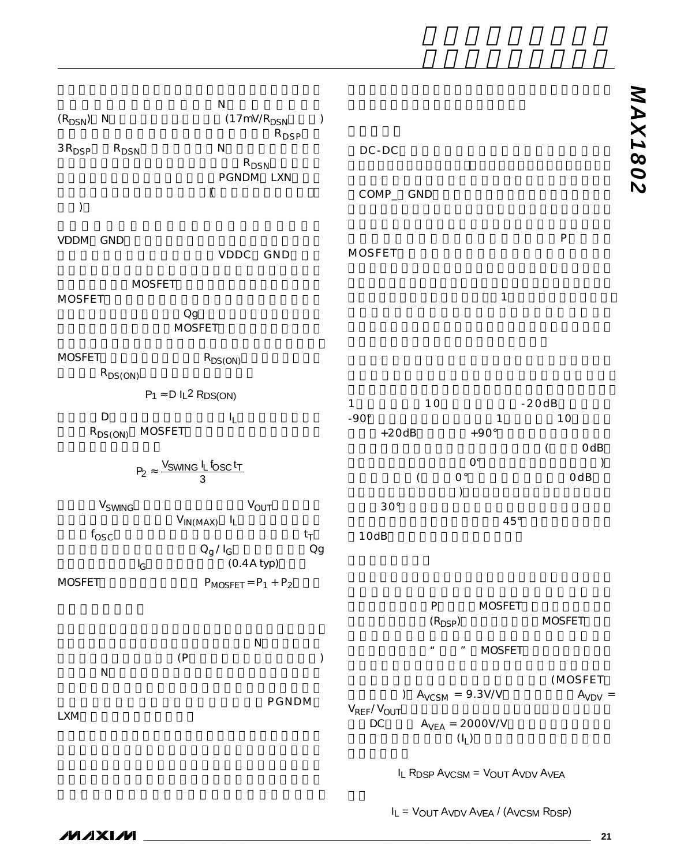| $(R_{DSN})$ N<br>$3R_{\small{\sf DSP}}$<br>$R_{DSN}$<br>⟩                                                                                                                                                           | ${\sf N}$<br>(17mV/R <sub>DSN</sub><br>$\mathcal{C}$<br>$R_{\text{DSP}}$<br>N<br>$R_{DSN}$<br>PGNDM LXN<br>$\overline{(}$ | $DC-DC$<br>COMP_ GND                                                                                                                                                                                                                                                     | <b>NAX1802</b> |
|---------------------------------------------------------------------------------------------------------------------------------------------------------------------------------------------------------------------|---------------------------------------------------------------------------------------------------------------------------|--------------------------------------------------------------------------------------------------------------------------------------------------------------------------------------------------------------------------------------------------------------------------|----------------|
| VDDM GND                                                                                                                                                                                                            | VDDC GND                                                                                                                  | ${\sf P}$<br>MOSFET                                                                                                                                                                                                                                                      |                |
| <b>MOSFET</b><br><b>MOSFET</b><br>$_{\rm Og}$<br><b>MOSFET</b>                                                                                                                                                      |                                                                                                                           | $\mathbf 1$                                                                                                                                                                                                                                                              |                |
| <b>MOSFET</b><br>$R_{DS(ON)}$<br>$P_1 \approx D I_L^2 RDS(ON)$<br>$\mathsf D$<br><b>MOSFET</b><br>$R_{DS(ON)}$<br>$P_2 \approx \frac{V_{SWING} I_L f_{OSC} t_T}{3}$<br>V <sub>SWING</sub><br>$f_{\rm OSC}$<br>$I_G$ | $R_{DS(ON)}$<br>IL.<br>$V_{OUT}$<br>$V_{IN(MAX)}$ $I_L$<br>$t_T$<br>Qg<br>$Q_g/I_G$<br>$(0.4A$ typ $)$                    | 10<br>$-20dB$<br>$\mathbf{1}$<br>$-90^\circ$<br>10<br>1<br>$+20dB$<br>$+90^\circ$<br>OdB<br>$\overline{(\ }$<br>$\mathrm{O}^\circ$<br>$\mathsf{O}^{\,\circ}$<br>OdB<br>$\overline{(\ }$<br>$\mathcal{E}$<br>$30^{\circ}$<br>$45^{\circ}$<br>10dB                         |                |
| <b>MOSFET</b><br>(P)<br>${\sf N}$<br><b>LXM</b>                                                                                                                                                                     | $P_{MOSFET} = P_1 + P_2$<br>${\sf N}$<br>$\mathcal{C}^{\prime}$<br>PGNDM                                                  | P<br><b>MOSFET</b><br>$(R_{\text{DSP}})$<br><b>MOSFET</b><br><b>MOSFET</b><br>$\pmb{\mathit{u}}$<br>$\boldsymbol{\mathsf{H}}$<br>(MOSFET<br>$A_{VCSM} = 9.3 V/V$<br>$A_{VDV}$ =<br>$\mathcal{L}$<br>$V_{REF}/V_{OUT}$<br>$\mathsf{DC}$<br>$A_{VEA} = 2000V/V$<br>$(I_L)$ |                |

IL RDSP AVCSM = VOUT AVDV AVEA

IL = VOUT AVDV AVEA / (AVCSM RDSP)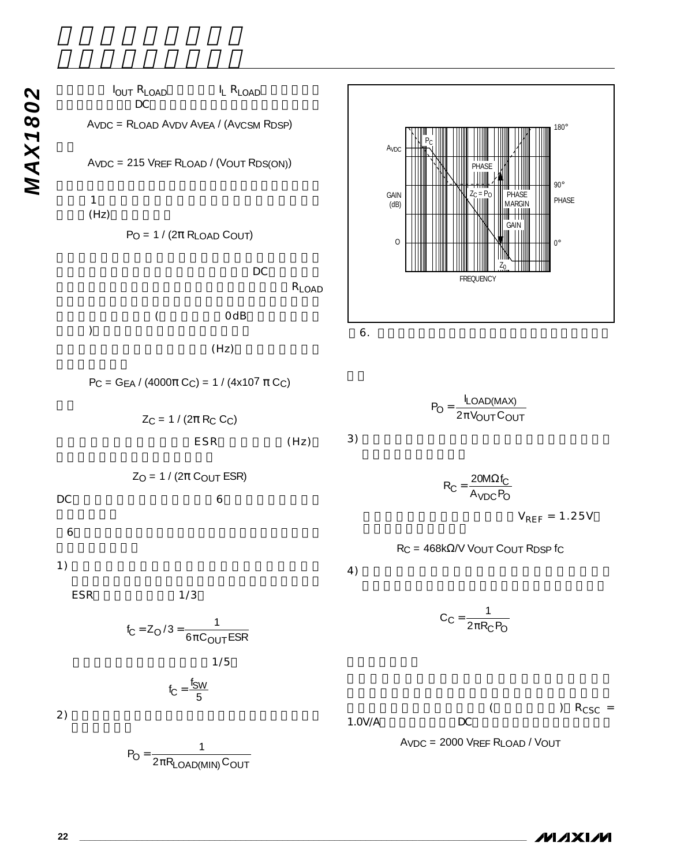*VOUT RLOAD*<br>*DC*<br>AVDC = RLOAD AVDV AVEA / (AVCS<br>AVDC = 215 VREF RLOAD / (VOUT I I<sub>OUT</sub> R<sub>LOAD</sub> I<sub>L</sub> R<sub>LOAD</sub>  $DC$ AVDC = RLOAD AVDV AVEA / (AVCSM RDSP) AVDC = 215 VREF RLOAD / (VOUT RDS(ON))  $1$  $(Hz)$  $P_O = 1 / (2\pi R_{LOAD}$  Cout)  $\overline{D}$ R<sub>LOAD</sub>  $($  OdB  $)$  $(Hz)$  $PC = GEA / (4000\pi C_C) = 1 / (4x10^7 \pi C_C)$  $Z_C = 1 / (2\pi R_C C_C)$ ESR (Hz)  $Z_O = 1 / (2\pi \text{ COUT ESR})$ DC利得及びポールとゼロは、図6のボーデ線図に示さ  $6$  $1)$ ESR
1/3  $1/5$  $2)$  $3)$  $4)$ 1.0V/A DC  $f_C = \frac{f_{SW}}{F}$ 5  $f_C = Z_O / 3 = \frac{1}{6\pi C_{OUT}ESR}$ AVDC GAIN<br>(dB) PC  $6.$ 



 $P_O = \frac{LOAD(IV)T}{2\pi V_{OUT}C}$ LOAD(MAX  $\sigma = \frac{1}{2\pi V_{\text{OUT}}C_{\text{OUT}}}$  $=\frac{I_{LOAD(MAX)}}{2\pi V_{OUT}C_{OL}}$ 

$$
R_C = \frac{20 M \Omega f_C}{A_{VDC} P_O}
$$

 $V_{REF} = 1.25V$ 

RC = 468kΩ/V VOUT COUT RDSP fC

 $C_C = \frac{1}{2\pi R_C P_O}$  $=\frac{1}{2\pi R_0}$ 

 $($  ) R<sub>CSC</sub> =

AVDC = 2000 VREF RLOAD / VOUT

$$
\boldsymbol{\mathcal{N}}\boldsymbol{\mathcal{N}}\boldsymbol{\mathcal{N}}\boldsymbol{\mathcal{N}}
$$

 $P_O = \frac{1}{2\pi R_{LOAD(MIN)}C_{OUT}}$  $=\frac{1}{2\pi R_{\text{LOAD(MIN)}}}$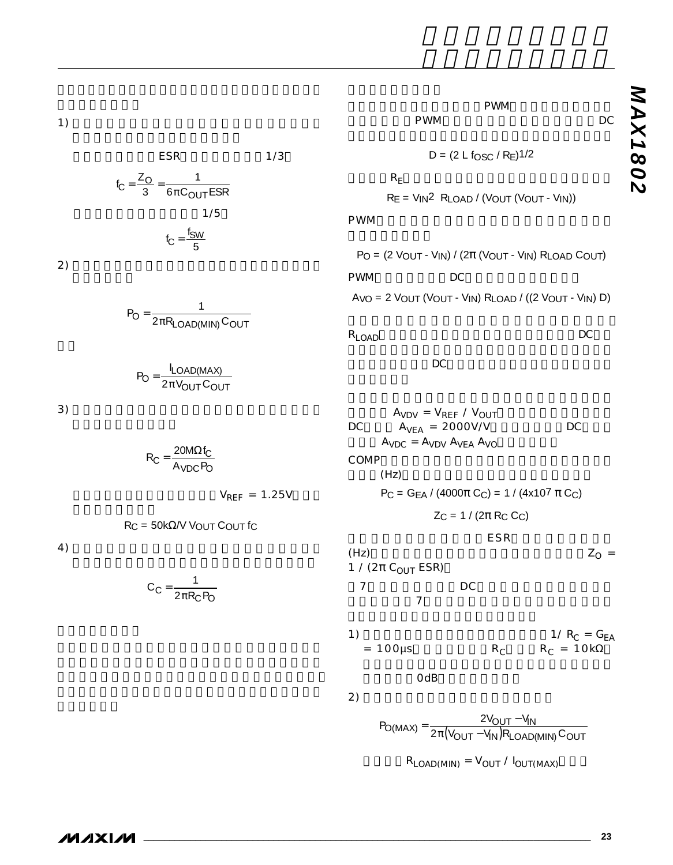$1)$ 

$$
ESR = 1/3
$$
  
\n
$$
f_C = \frac{Z_O}{3} = \frac{1}{6\pi C_{OUT}ESR}
$$
  
\n
$$
1/5
$$
  
\n
$$
f_C = \frac{f_{SW}}{5}
$$
  
\n2)

$$
P_O = \frac{1}{2\pi R_{LOAD(MIN)}C_{OUT}}
$$

$$
P_{\text{O}} = \frac{I_{\text{LOAD(MAX)}}}{2\pi V_{\text{OUT}} C_{\text{OUT}}}
$$

 $3)$ 

$$
R_C = \frac{20M\Omega f_C}{A_{VDC}P_O}
$$

 $V_{REF}$  = 1.25V

 $RC = 50k\Omega/V$  VOUT COUT fc

 $4)$ 

$$
C_C = \frac{1}{2\pi R_C P_O}
$$

PWM<br>DC PWM  $D = (2 L f_{OSC} / R_E)$ 1/2

 $R_E$  $RE = VIN<sup>2</sup>$  RLOAD / (VOUT (VOUT - VIN))

PWM

 $P_O = (2 V_{OUT} - V_{IN}) / (2\pi (V_{OUT} - V_{IN}) R_{LOAD} C_{OUT})$ PWM DC

 $AVO = 2 VOUT (VOUT - VIN) RLOAD / ((2 VOUT - VIN) D)$ 

 $R_{\text{LOAD}}$  DC

 $DC$ 

 $A_{VDV} = V_{REF} / V_{OUT}$  $DC \qquad A_{VEA} = 2000V/V \qquad DC$  $A_{VDC} = A_{VDV} A_{VEA} A_{VO}$ COMP  $(Hz)$  $P_C = G_{EA} / (4000 \pi C_C) = 1 / (4 \times 10^7 \pi C_C)$  $Z_C = 1 / (2\pi R_C C_C)$  $ESR$ (Hz)  $Z<sub>O</sub>$  = 1 / (2π C<sub>OUT</sub> ESR) 図7のボーデ線図に、DC利得と、ポール及びゼロを  $\overline{7}$ 1)  $1/R_C = G_{EA}$  $= 100 \mu s$  R<sub>C</sub> R<sub>C</sub> = 10kΩ OdB  $2)$ 

 $P_{\text{O(MAX)}} = \frac{2 \text{V_{OUT}} - \text{V_{IN}}}{2 \pi (\text{V_{OUT}} - \text{V_{IN}}) \text{R}_{\text{LOAD(MIN)}} \text{C}_{\text{OUT}}}$  $=\frac{2V_{\text{OUT}}-V_{\text{IN}}}{2\pi(V_{\text{OUT}}-V_{\text{IN}})R_{\text{LOAD(MIN)}}}$ 

 $R_{LOAD(MIN)} = V_{OUT} / I_{OUT(MAX)}$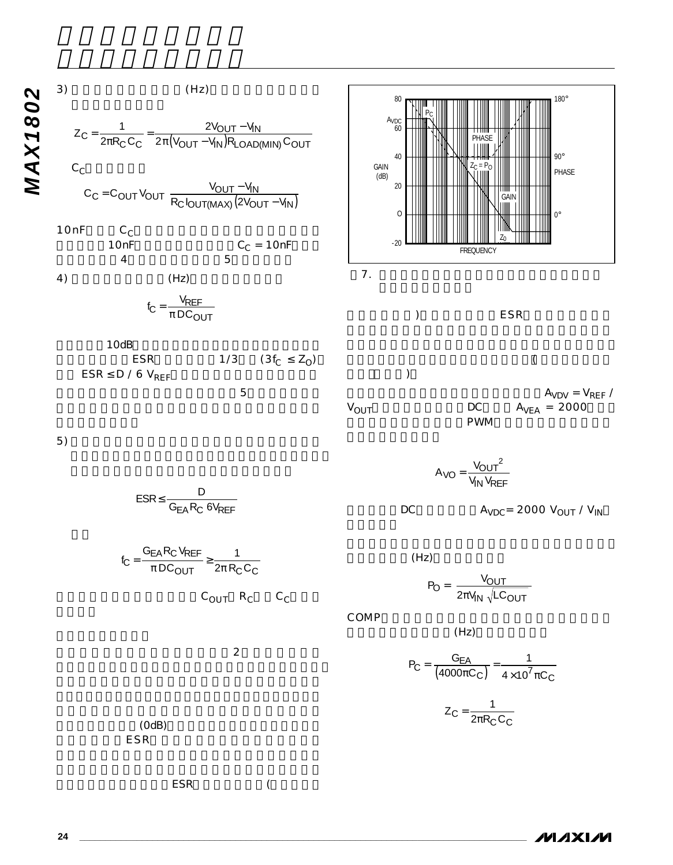



 $3)$  (Hz)

1

AVDC

60

PC

80

 $A_{VDV} = V_{REF}$  /

180°

90°

 $ESR$  (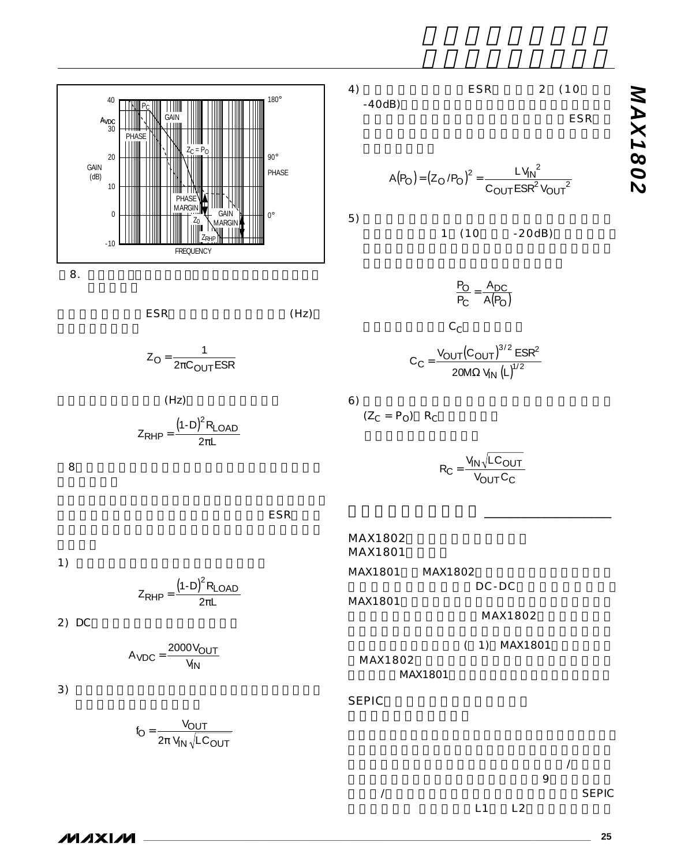



 $8.$ 

 $ESR$  (Hz)

$$
Z_{\rm O} = \frac{1}{2\pi C_{\rm OUT} \, \text{ESR}}
$$

 $(Hz)$  $Z_{\rm RHP} = \frac{(1-D)^2 R}{2\pi}$ L LOAD π



 $ESR$ 

4) ESR 2 (10  $-40dB$ 

ESR

$$
A(P_O) = (Z_O/P_O)^2 = \frac{LV_{IN}^2}{C_{OUT}ESR^2V_{OUT}^2}
$$

 $5)$ 

1 (10 -20dB)

 $C_C$  $C_C = \frac{V_{\text{OUT}}(C_{\text{OUT}})^{3/2} E}{V_{\text{OUT}}^{1/2}}$  $C = \frac{VOUT(VOUT)}{20MR}$ IN <u> Vout(Cout)</u>  $\Omega$  V<sub>IN</sub> (L)  $^{3/2}$   $_{\rm ECD}$ 2 20M $\Omega$  V<sub>IN</sub> (L)<sup>1/2</sup> / / SR MΩ V<sub>IN</sub> (L P P  $\frac{A}{A}$  -  $\frac{A}{A}$  $\frac{O}{C} = \frac{A_{DC}}{A(P_O)}$ 

 $6)$  $(Z_C = P_O)$  R<sub>C</sub>

MAX1802 MAX1801

MAX1801

SEPIC

MAX1802

MAX1801 MAX1802

 $R_C = \frac{V_1}{V}$  $C = \frac{V_{\text{IN}} V_{\text{OUT}} C}{V_{\text{OUT}} C}$ OUT └C  $=\frac{V_{IN} \sqrt{LC_{OUT}}}{V_{L} C}$ 

アプリケーション情報 \_\_\_\_\_\_\_\_\_\_\_\_\_\_\_\_\_\_\_

DC-DC

MAX1802

( 1) MAX1801

1)  $\overline{a}$ 

 $Z_{\rm RHP} = \frac{(1-D)^2 R}{2\pi}$ L LOAD π

2) DC

 $A_{\text{VDC}} = \frac{2000 \text{ V}}{V_{\text{IN}}}$  $=\frac{2000V_{\text{OUT}}}{V}$ 

 $3)$ 

$$
f_{\rm O} = \frac{V_{\rm OUT}}{2\pi V_{\rm IN}\sqrt{LC_{\rm OUT}}}
$$



 $\boldsymbol{\mathcal{W}}$   $\boldsymbol{\mathcal{X}}$   $\boldsymbol{\mathcal{W}}$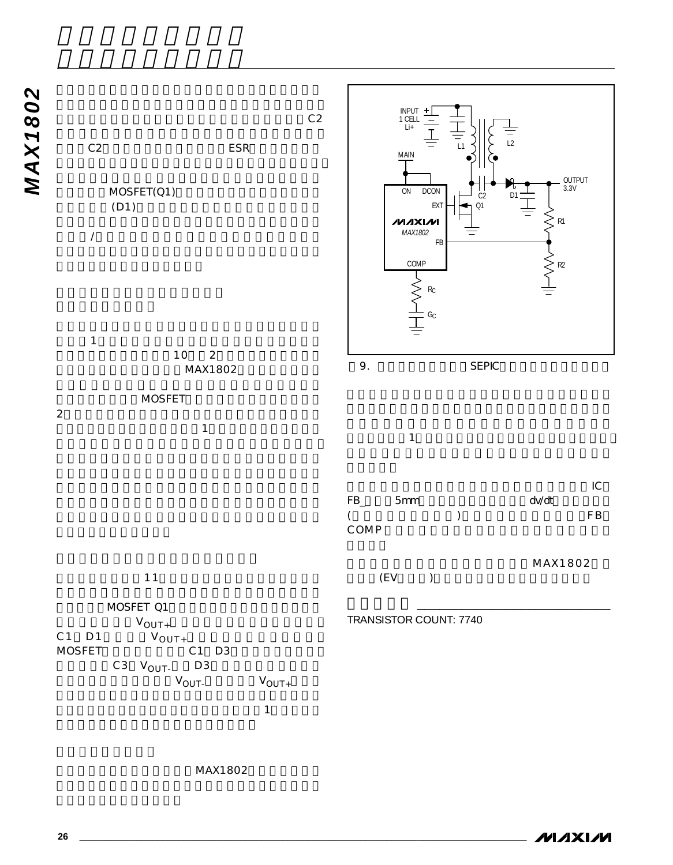



MAX1802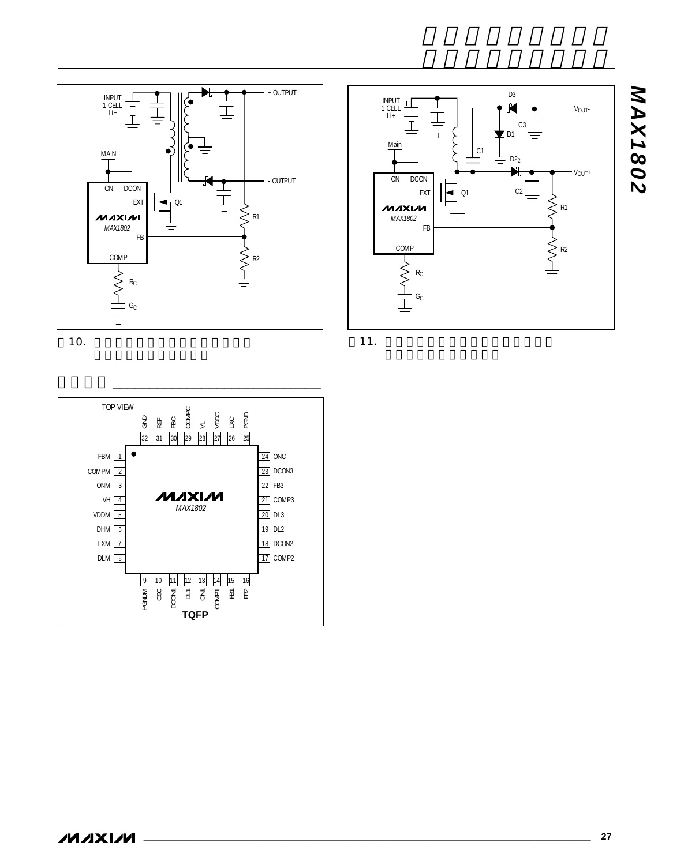

10.



11.